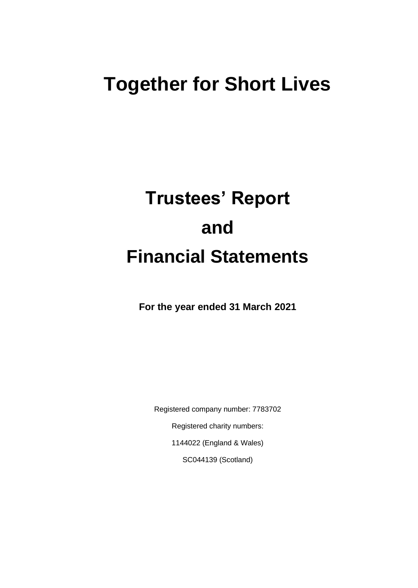## **Together for Short Lives**

# **Trustees' Report and Financial Statements**

**For the year ended 31 March 2021**

Registered company number: 7783702 Registered charity numbers: 1144022 (England & Wales) SC044139 (Scotland)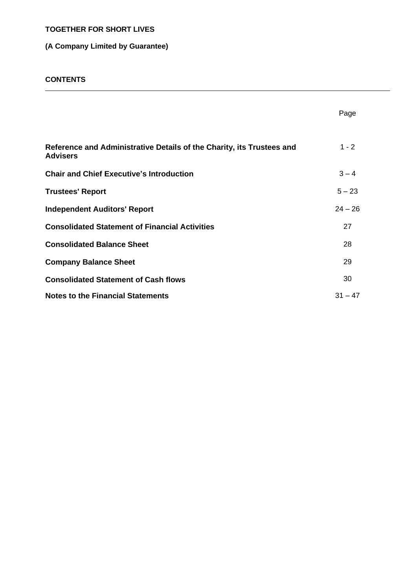#### **(A Company Limited by Guarantee)**

#### **CONTENTS**

|                                                                                          | Page      |
|------------------------------------------------------------------------------------------|-----------|
| Reference and Administrative Details of the Charity, its Trustees and<br><b>Advisers</b> | $1 - 2$   |
| <b>Chair and Chief Executive's Introduction</b>                                          | $3 - 4$   |
| <b>Trustees' Report</b>                                                                  | $5 - 23$  |
| <b>Independent Auditors' Report</b>                                                      | $24 - 26$ |
| <b>Consolidated Statement of Financial Activities</b>                                    | 27        |
| <b>Consolidated Balance Sheet</b>                                                        | 28        |
| <b>Company Balance Sheet</b>                                                             | 29        |
| <b>Consolidated Statement of Cash flows</b>                                              | 30        |
| <b>Notes to the Financial Statements</b>                                                 | $31 - 47$ |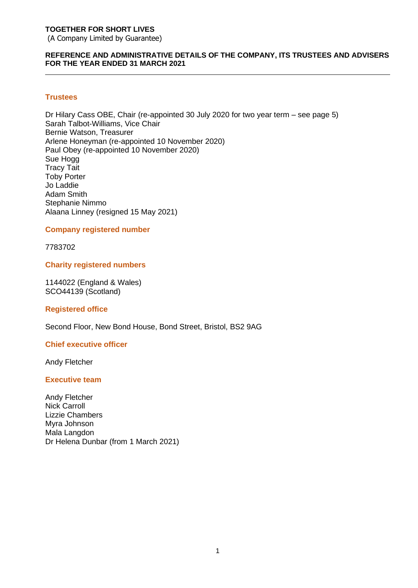(A Company Limited by Guarantee)

#### **REFERENCE AND ADMINISTRATIVE DETAILS OF THE COMPANY, ITS TRUSTEES AND ADVISERS FOR THE YEAR ENDED 31 MARCH 2021**

#### **Trustees**

Dr Hilary Cass OBE, Chair (re-appointed 30 July 2020 for two year term – see page 5) Sarah Talbot-Williams, Vice Chair Bernie Watson, Treasurer Arlene Honeyman (re-appointed 10 November 2020) Paul Obey (re-appointed 10 November 2020) Sue Hogg Tracy Tait Toby Porter Jo Laddie Adam Smith Stephanie Nimmo Alaana Linney (resigned 15 May 2021)

#### **Company registered number**

7783702

#### **Charity registered numbers**

1144022 (England & Wales) SCO44139 (Scotland)

#### **Registered office**

Second Floor, New Bond House, Bond Street, Bristol, BS2 9AG

#### **Chief executive officer**

Andy Fletcher

#### **Executive team**

Andy Fletcher Nick Carroll Lizzie Chambers Myra Johnson Mala Langdon Dr Helena Dunbar (from 1 March 2021)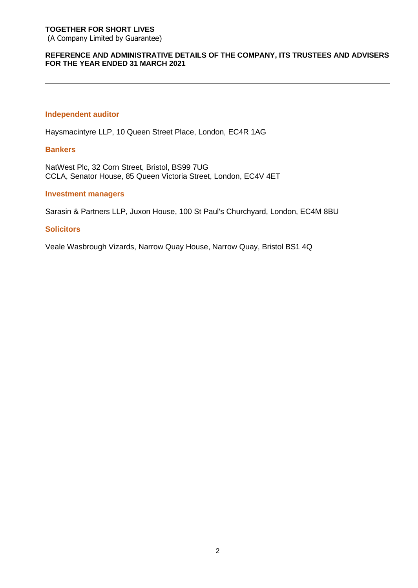(A Company Limited by Guarantee)

#### **REFERENCE AND ADMINISTRATIVE DETAILS OF THE COMPANY, ITS TRUSTEES AND ADVISERS FOR THE YEAR ENDED 31 MARCH 2021**

#### **Independent auditor**

Haysmacintyre LLP, 10 Queen Street Place, London, EC4R 1AG

#### **Bankers**

NatWest Plc, 32 Corn Street, Bristol, BS99 7UG CCLA, Senator House, 85 Queen Victoria Street, London, EC4V 4ET

#### **Investment managers**

Sarasin & Partners LLP, Juxon House, 100 St Paul's Churchyard, London, EC4M 8BU

#### **Solicitors**

Veale Wasbrough Vizards, Narrow Quay House, Narrow Quay, Bristol BS1 4Q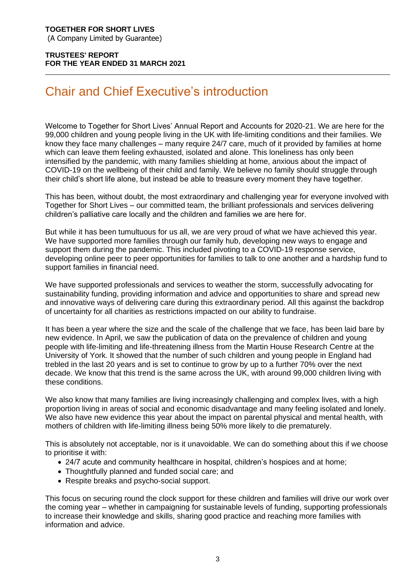#### **TRUSTEES' REPORT FOR THE YEAR ENDED 31 MARCH 2021**

## Chair and Chief Executive's introduction

Welcome to Together for Short Lives' Annual Report and Accounts for 2020-21. We are here for the 99,000 children and young people living in the UK with life-limiting conditions and their families. We know they face many challenges – many require 24/7 care, much of it provided by families at home which can leave them feeling exhausted, isolated and alone. This loneliness has only been intensified by the pandemic, with many families shielding at home, anxious about the impact of COVID-19 on the wellbeing of their child and family. We believe no family should struggle through their child's short life alone, but instead be able to treasure every moment they have together.

This has been, without doubt, the most extraordinary and challenging year for everyone involved with Together for Short Lives – our committed team, the brilliant professionals and services delivering children's palliative care locally and the children and families we are here for.

But while it has been tumultuous for us all, we are very proud of what we have achieved this year. We have supported more families through our family hub, developing new ways to engage and support them during the pandemic. This included pivoting to a COVID-19 response service, developing online peer to peer opportunities for families to talk to one another and a hardship fund to support families in financial need.

We have supported professionals and services to weather the storm, successfully advocating for sustainability funding, providing information and advice and opportunities to share and spread new and innovative ways of delivering care during this extraordinary period. All this against the backdrop of uncertainty for all charities as restrictions impacted on our ability to fundraise.

It has been a year where the size and the scale of the challenge that we face, has been laid bare by new evidence. In April, we saw the publication of data on the prevalence of children and young people with life-limiting and life-threatening illness from the Martin House Research Centre at the University of York. It showed that the number of such children and young people in England had trebled in the last 20 years and is set to continue to grow by up to a further 70% over the next decade. We know that this trend is the same across the UK, with around 99,000 children living with these conditions.

We also know that many families are living increasingly challenging and complex lives, with a high proportion living in areas of social and economic disadvantage and many feeling isolated and lonely. We also have new evidence this year about the impact on parental physical and mental health, with mothers of children with life-limiting illness being 50% more likely to die prematurely.

This is absolutely not acceptable, nor is it unavoidable. We can do something about this if we choose to prioritise it with:

- 24/7 acute and community healthcare in hospital, children's hospices and at home;
- Thoughtfully planned and funded social care; and
- Respite breaks and psycho-social support.

This focus on securing round the clock support for these children and families will drive our work over the coming year – whether in campaigning for sustainable levels of funding, supporting professionals to increase their knowledge and skills, sharing good practice and reaching more families with information and advice.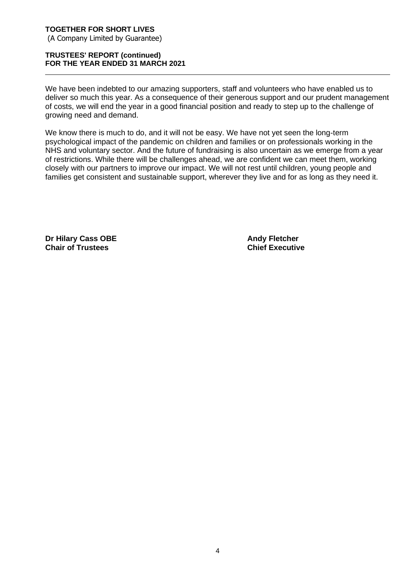#### **TRUSTEES' REPORT (continued) FOR THE YEAR ENDED 31 MARCH 2021**

We have been indebted to our amazing supporters, staff and volunteers who have enabled us to deliver so much this year. As a consequence of their generous support and our prudent management of costs, we will end the year in a good financial position and ready to step up to the challenge of growing need and demand.

We know there is much to do, and it will not be easy. We have not yet seen the long-term psychological impact of the pandemic on children and families or on professionals working in the NHS and voluntary sector. And the future of fundraising is also uncertain as we emerge from a year of restrictions. While there will be challenges ahead, we are confident we can meet them, working closely with our partners to improve our impact. We will not rest until children, young people and families get consistent and sustainable support, wherever they live and for as long as they need it.

**Dr Hilary Cass OBE Andy Fletcher Chair of Trustees Chief Executive**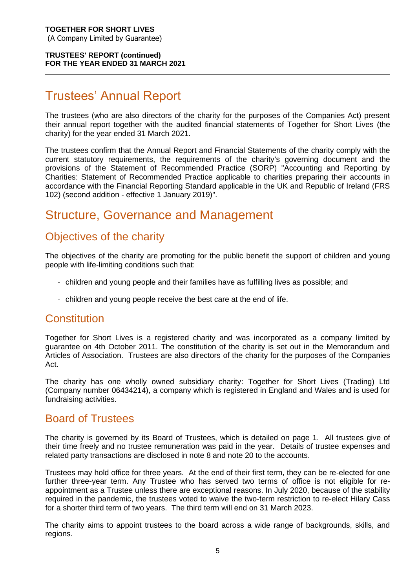### Trustees' Annual Report

The trustees (who are also directors of the charity for the purposes of the Companies Act) present their annual report together with the audited financial statements of Together for Short Lives (the charity) for the year ended 31 March 2021.

The trustees confirm that the Annual Report and Financial Statements of the charity comply with the current statutory requirements, the requirements of the charity's governing document and the provisions of the Statement of Recommended Practice (SORP) "Accounting and Reporting by Charities: Statement of Recommended Practice applicable to charities preparing their accounts in accordance with the Financial Reporting Standard applicable in the UK and Republic of Ireland (FRS 102) (second addition - effective 1 January 2019)".

### Structure, Governance and Management

### Objectives of the charity

The objectives of the charity are promoting for the public benefit the support of children and young people with life-limiting conditions such that:

- children and young people and their families have as fulfilling lives as possible; and
- children and young people receive the best care at the end of life.

### **Constitution**

Together for Short Lives is a registered charity and was incorporated as a company limited by guarantee on 4th October 2011. The constitution of the charity is set out in the Memorandum and Articles of Association. Trustees are also directors of the charity for the purposes of the Companies Act.

The charity has one wholly owned subsidiary charity: Together for Short Lives (Trading) Ltd (Company number 06434214), a company which is registered in England and Wales and is used for fundraising activities.

### Board of Trustees

The charity is governed by its Board of Trustees, which is detailed on page 1. All trustees give of their time freely and no trustee remuneration was paid in the year. Details of trustee expenses and related party transactions are disclosed in note 8 and note 20 to the accounts.

Trustees may hold office for three years. At the end of their first term, they can be re-elected for one further three-year term. Any Trustee who has served two terms of office is not eligible for reappointment as a Trustee unless there are exceptional reasons. In July 2020, because of the stability required in the pandemic, the trustees voted to waive the two-term restriction to re-elect Hilary Cass for a shorter third term of two years. The third term will end on 31 March 2023.

The charity aims to appoint trustees to the board across a wide range of backgrounds, skills, and regions.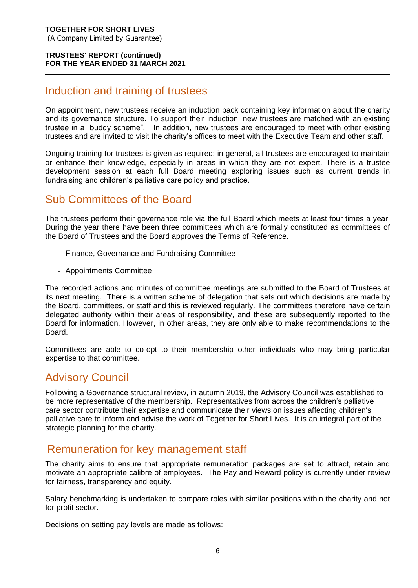### Induction and training of trustees

On appointment, new trustees receive an induction pack containing key information about the charity and its governance structure. To support their induction, new trustees are matched with an existing trustee in a "buddy scheme". In addition, new trustees are encouraged to meet with other existing trustees and are invited to visit the charity's offices to meet with the Executive Team and other staff.

Ongoing training for trustees is given as required; in general, all trustees are encouraged to maintain or enhance their knowledge, especially in areas in which they are not expert. There is a trustee development session at each full Board meeting exploring issues such as current trends in fundraising and children's palliative care policy and practice.

### Sub Committees of the Board

The trustees perform their governance role via the full Board which meets at least four times a year. During the year there have been three committees which are formally constituted as committees of the Board of Trustees and the Board approves the Terms of Reference.

- Finance, Governance and Fundraising Committee
- Appointments Committee

The recorded actions and minutes of committee meetings are submitted to the Board of Trustees at its next meeting. There is a written scheme of delegation that sets out which decisions are made by the Board, committees, or staff and this is reviewed regularly. The committees therefore have certain delegated authority within their areas of responsibility, and these are subsequently reported to the Board for information. However, in other areas, they are only able to make recommendations to the Board.

Committees are able to co-opt to their membership other individuals who may bring particular expertise to that committee.

### Advisory Council

Following a Governance structural review, in autumn 2019, the Advisory Council was established to be more representative of the membership. Representatives from across the children's palliative care sector contribute their expertise and communicate their views on issues affecting children's palliative care to inform and advise the work of Together for Short Lives. It is an integral part of the strategic planning for the charity.

### Remuneration for key management staff

The charity aims to ensure that appropriate remuneration packages are set to attract, retain and motivate an appropriate calibre of employees. The Pay and Reward policy is currently under review for fairness, transparency and equity.

Salary benchmarking is undertaken to compare roles with similar positions within the charity and not for profit sector.

Decisions on setting pay levels are made as follows: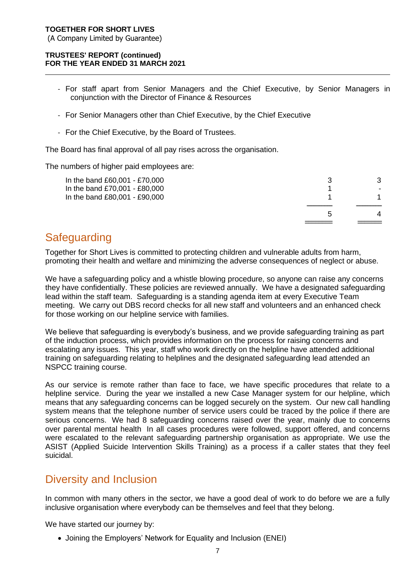#### **TRUSTEES' REPORT (continued) FOR THE YEAR ENDED 31 MARCH 2021**

- For staff apart from Senior Managers and the Chief Executive, by Senior Managers in conjunction with the Director of Finance & Resources
- For Senior Managers other than Chief Executive, by the Chief Executive
- For the Chief Executive, by the Board of Trustees.

The Board has final approval of all pay rises across the organisation.

The numbers of higher paid employees are:

| In the band £60,001 - £70,000<br>In the band £70,001 - £80,000<br>In the band £80,001 - £90,000 |              | 3 |
|-------------------------------------------------------------------------------------------------|--------------|---|
|                                                                                                 | $\mathbf{b}$ |   |

### **Safeguarding**

Together for Short Lives is committed to protecting children and vulnerable adults from harm, promoting their health and welfare and minimizing the adverse consequences of neglect or abuse.

We have a safeguarding policy and a whistle blowing procedure, so anyone can raise any concerns they have confidentially. These policies are reviewed annually. We have a designated safeguarding lead within the staff team. Safeguarding is a standing agenda item at every Executive Team meeting. We carry out DBS record checks for all new staff and volunteers and an enhanced check for those working on our helpline service with families.

We believe that safeguarding is everybody's business, and we provide safeguarding training as part of the induction process, which provides information on the process for raising concerns and escalating any issues. This year, staff who work directly on the helpline have attended additional training on safeguarding relating to helplines and the designated safeguarding lead attended an NSPCC training course.

As our service is remote rather than face to face, we have specific procedures that relate to a helpline service. During the year we installed a new Case Manager system for our helpline, which means that any safeguarding concerns can be logged securely on the system. Our new call handling system means that the telephone number of service users could be traced by the police if there are serious concerns. We had 8 safeguarding concerns raised over the year, mainly due to concerns over parental mental health In all cases procedures were followed, support offered, and concerns were escalated to the relevant safeguarding partnership organisation as appropriate. We use the ASIST (Applied Suicide Intervention Skills Training) as a process if a caller states that they feel suicidal.

### Diversity and Inclusion

In common with many others in the sector, we have a good deal of work to do before we are a fully inclusive organisation where everybody can be themselves and feel that they belong.

We have started our journey by:

• Joining the Employers' Network for Equality and Inclusion (ENEI)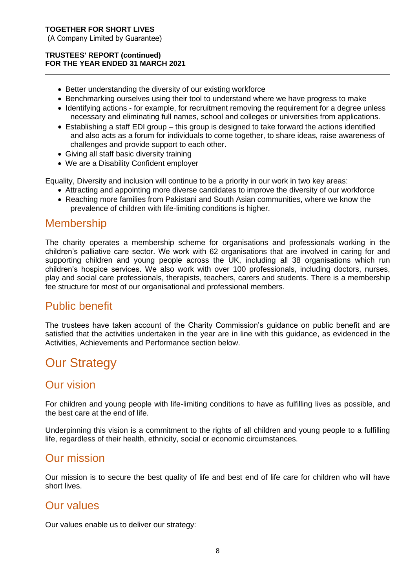- Better understanding the diversity of our existing workforce
- Benchmarking ourselves using their tool to understand where we have progress to make
- Identifying actions for example, for recruitment removing the requirement for a degree unless necessary and eliminating full names, school and colleges or universities from applications.
- Establishing a staff EDI group this group is designed to take forward the actions identified and also acts as a forum for individuals to come together, to share ideas, raise awareness of challenges and provide support to each other.
- Giving all staff basic diversity training
- We are a Disability Confident employer

Equality, Diversity and inclusion will continue to be a priority in our work in two key areas:

- Attracting and appointing more diverse candidates to improve the diversity of our workforce
- Reaching more families from Pakistani and South Asian communities, where we know the prevalence of children with life-limiting conditions is higher.

### **Membership**

The charity operates a membership scheme for organisations and professionals working in the children's palliative care sector. We work with 62 organisations that are involved in caring for and supporting children and young people across the UK, including all 38 organisations which run children's hospice services. We also work with over 100 professionals, including doctors, nurses, play and social care professionals, therapists, teachers, carers and students. There is a membership fee structure for most of our organisational and professional members.

### Public benefit

The trustees have taken account of the Charity Commission's guidance on public benefit and are satisfied that the activities undertaken in the year are in line with this guidance, as evidenced in the Activities, Achievements and Performance section below.

### Our Strategy

### Our vision

For children and young people with life-limiting conditions to have as fulfilling lives as possible, and the best care at the end of life.

Underpinning this vision is a commitment to the rights of all children and young people to a fulfilling life, regardless of their health, ethnicity, social or economic circumstances.

### Our mission

Our mission is to secure the best quality of life and best end of life care for children who will have short lives.

### Our values

Our values enable us to deliver our strategy: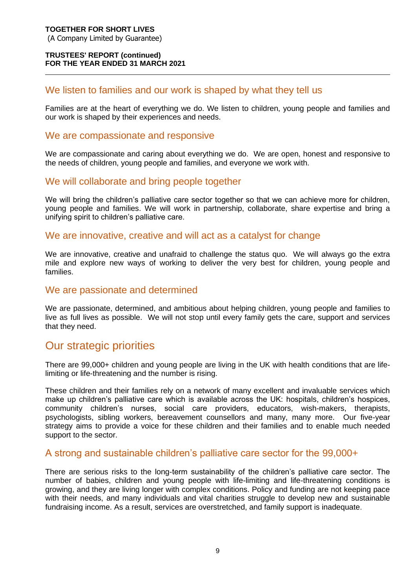#### We listen to families and our work is shaped by what they tell us

Families are at the heart of everything we do. We listen to children, young people and families and our work is shaped by their experiences and needs.

#### We are compassionate and responsive

We are compassionate and caring about everything we do. We are open, honest and responsive to the needs of children, young people and families, and everyone we work with.

### We will collaborate and bring people together

We will bring the children's palliative care sector together so that we can achieve more for children, young people and families. We will work in partnership, collaborate, share expertise and bring a unifying spirit to children's palliative care.

#### We are innovative, creative and will act as a catalyst for change

We are innovative, creative and unafraid to challenge the status quo. We will always go the extra mile and explore new ways of working to deliver the very best for children, young people and families.

#### We are passionate and determined

We are passionate, determined, and ambitious about helping children, young people and families to live as full lives as possible. We will not stop until every family gets the care, support and services that they need.

### Our strategic priorities

There are 99,000+ children and young people are living in the UK with health conditions that are lifelimiting or life-threatening and the number is rising.

These children and their families rely on a network of many excellent and invaluable services which make up children's palliative care which is available across the UK: hospitals, children's hospices, community children's nurses, social care providers, educators, wish-makers, therapists, psychologists, sibling workers, bereavement counsellors and many, many more. Our five-year strategy aims to provide a voice for these children and their families and to enable much needed support to the sector.

#### A strong and sustainable children's palliative care sector for the 99,000+

There are serious risks to the long-term sustainability of the children's palliative care sector. The number of babies, children and young people with life-limiting and life-threatening conditions is growing, and they are living longer with complex conditions. Policy and funding are not keeping pace with their needs, and many individuals and vital charities struggle to develop new and sustainable fundraising income. As a result, services are overstretched, and family support is inadequate.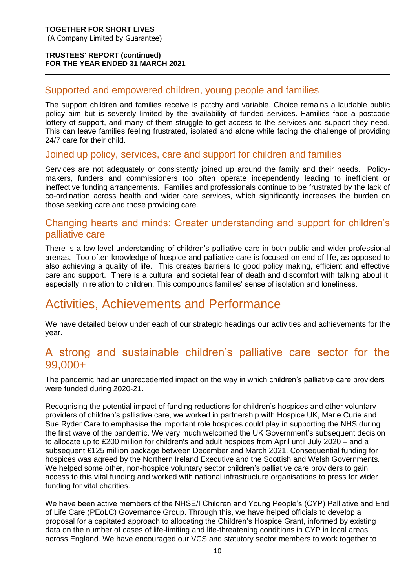#### Supported and empowered children, young people and families

The support children and families receive is patchy and variable. Choice remains a laudable public policy aim but is severely limited by the availability of funded services. Families face a postcode lottery of support, and many of them struggle to get access to the services and support they need. This can leave families feeling frustrated, isolated and alone while facing the challenge of providing 24/7 care for their child.

#### Joined up policy, services, care and support for children and families

Services are not adequately or consistently joined up around the family and their needs. Policymakers, funders and commissioners too often operate independently leading to inefficient or ineffective funding arrangements. Families and professionals continue to be frustrated by the lack of co-ordination across health and wider care services, which significantly increases the burden on those seeking care and those providing care.

#### Changing hearts and minds: Greater understanding and support for children's palliative care

There is a low-level understanding of children's palliative care in both public and wider professional arenas. Too often knowledge of hospice and palliative care is focused on end of life, as opposed to also achieving a quality of life. This creates barriers to good policy making, efficient and effective care and support. There is a cultural and societal fear of death and discomfort with talking about it, especially in relation to children. This compounds families' sense of isolation and loneliness.

### Activities, Achievements and Performance

We have detailed below under each of our strategic headings our activities and achievements for the year.

### A strong and sustainable children's palliative care sector for the 99,000+

The pandemic had an unprecedented impact on the way in which children's palliative care providers were funded during 2020-21.

Recognising the potential impact of funding reductions for children's hospices and other voluntary providers of children's palliative care, we worked in partnership with Hospice UK, Marie Curie and Sue Ryder Care to emphasise the important role hospices could play in supporting the NHS during the first wave of the pandemic. We very much welcomed the UK Government's subsequent decision to allocate up to £200 million for children's and adult hospices from April until July 2020 – and a subsequent £125 million package between December and March 2021. Consequential funding for hospices was agreed by the Northern Ireland Executive and the Scottish and Welsh Governments. We helped some other, non-hospice voluntary sector children's palliative care providers to gain access to this vital funding and worked with national infrastructure organisations to press for wider funding for vital charities.

We have been active members of the NHSE/I Children and Young People's (CYP) Palliative and End of Life Care (PEoLC) Governance Group. Through this, we have helped officials to develop a proposal for a capitated approach to allocating the Children's Hospice Grant, informed by existing data on the number of cases of life-limiting and life-threatening conditions in CYP in local areas across England. We have encouraged our VCS and statutory sector members to work together to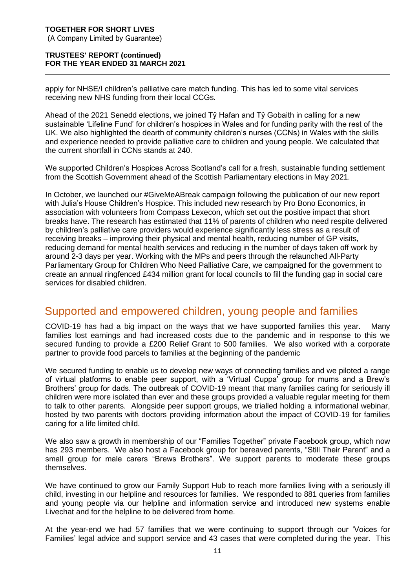#### **TRUSTEES' REPORT (continued) FOR THE YEAR ENDED 31 MARCH 2021**

apply for NHSE/I children's palliative care match funding. This has led to some vital services receiving new NHS funding from their local CCGs.

Ahead of the 2021 Senedd elections, we joined Tŷ Hafan and Tŷ Gobaith in calling for a new sustainable 'Lifeline Fund' for children's hospices in Wales and for funding parity with the rest of the UK. We also highlighted the dearth of community children's nurses (CCNs) in Wales with the skills and experience needed to provide palliative care to children and young people. We calculated that the current shortfall in CCNs stands at 240.

We supported Children's Hospices Across Scotland's call for a fresh, sustainable funding settlement from the Scottish Government ahead of the Scottish Parliamentary elections in May 2021.

In October, we launched our #GiveMeABreak campaign following the publication of our new report with Julia's House Children's Hospice. This included new research by Pro Bono Economics, in association with volunteers from Compass Lexecon, which set out the positive impact that short breaks have. The research has estimated that 11% of parents of children who need respite delivered by children's palliative care providers would experience significantly less stress as a result of receiving breaks – improving their physical and mental health, reducing number of GP visits, reducing demand for mental health services and reducing in the number of days taken off work by around 2-3 days per year. Working with the MPs and peers through the relaunched All-Party Parliamentary Group for Children Who Need Palliative Care, we campaigned for the government to create an annual ringfenced £434 million grant for local councils to fill the funding gap in social care services for disabled children.

### Supported and empowered children, young people and families

COVID-19 has had a big impact on the ways that we have supported families this year. Many families lost earnings and had increased costs due to the pandemic and in response to this we secured funding to provide a £200 Relief Grant to 500 families. We also worked with a corporate partner to provide food parcels to families at the beginning of the pandemic

We secured funding to enable us to develop new ways of connecting families and we piloted a range of virtual platforms to enable peer support, with a 'Virtual Cuppa' group for mums and a Brew's Brothers' group for dads. The outbreak of COVID-19 meant that many families caring for seriously ill children were more isolated than ever and these groups provided a valuable regular meeting for them to talk to other parents. Alongside peer support groups, we trialled holding a informational webinar, hosted by two parents with doctors providing information about the impact of COVID-19 for families caring for a life limited child.

We also saw a growth in membership of our "Families Together" private Facebook group, which now has 293 members. We also host a Facebook group for bereaved parents, "Still Their Parent" and a small group for male carers "Brews Brothers". We support parents to moderate these groups themselves.

We have continued to grow our Family Support Hub to reach more families living with a seriously ill child, investing in our helpline and resources for families. We responded to 881 queries from families and young people via our helpline and information service and introduced new systems enable Livechat and for the helpline to be delivered from home.

At the year-end we had 57 families that we were continuing to support through our 'Voices for Families' legal advice and support service and 43 cases that were completed during the year. This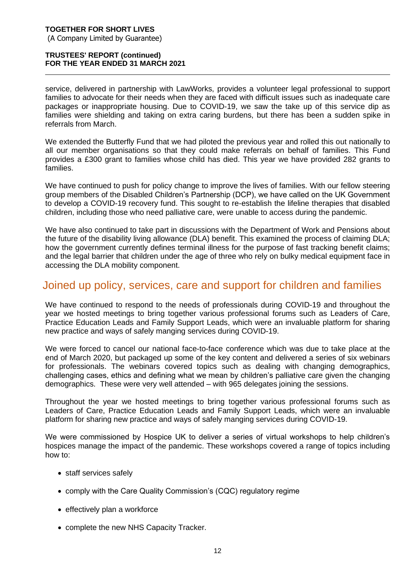#### **TRUSTEES' REPORT (continued) FOR THE YEAR ENDED 31 MARCH 2021**

service, delivered in partnership with LawWorks, provides a volunteer legal professional to support families to advocate for their needs when they are faced with difficult issues such as inadequate care packages or inappropriate housing. Due to COVID-19, we saw the take up of this service dip as families were shielding and taking on extra caring burdens, but there has been a sudden spike in referrals from March.

We extended the Butterfly Fund that we had piloted the previous year and rolled this out nationally to all our member organisations so that they could make referrals on behalf of families. This Fund provides a £300 grant to families whose child has died. This year we have provided 282 grants to families.

We have continued to push for policy change to improve the lives of families. With our fellow steering group members of the Disabled Children's Partnership (DCP), we have called on the UK Government to develop a COVID-19 recovery fund. This sought to re-establish the lifeline therapies that disabled children, including those who need palliative care, were unable to access during the pandemic.

We have also continued to take part in discussions with the Department of Work and Pensions about the future of the disability living allowance (DLA) benefit. This examined the process of claiming DLA; how the government currently defines terminal illness for the purpose of fast tracking benefit claims; and the legal barrier that children under the age of three who rely on bulky medical equipment face in accessing the DLA mobility component.

### Joined up policy, services, care and support for children and families

We have continued to respond to the needs of professionals during COVID-19 and throughout the year we hosted meetings to bring together various professional forums such as Leaders of Care, Practice Education Leads and Family Support Leads, which were an invaluable platform for sharing new practice and ways of safely manging services during COVID-19.

We were forced to cancel our national face-to-face conference which was due to take place at the end of March 2020, but packaged up some of the key content and delivered a series of six webinars for professionals. The webinars covered topics such as dealing with changing demographics, challenging cases, ethics and defining what we mean by children's palliative care given the changing demographics. These were very well attended – with 965 delegates joining the sessions.

Throughout the year we hosted meetings to bring together various professional forums such as Leaders of Care, Practice Education Leads and Family Support Leads, which were an invaluable platform for sharing new practice and ways of safely manging services during COVID-19.

We were commissioned by Hospice UK to deliver a series of virtual workshops to help children's hospices manage the impact of the pandemic. These workshops covered a range of topics including how to:

- staff services safely
- comply with the Care Quality Commission's (CQC) regulatory regime
- effectively plan a workforce
- complete the new NHS Capacity Tracker.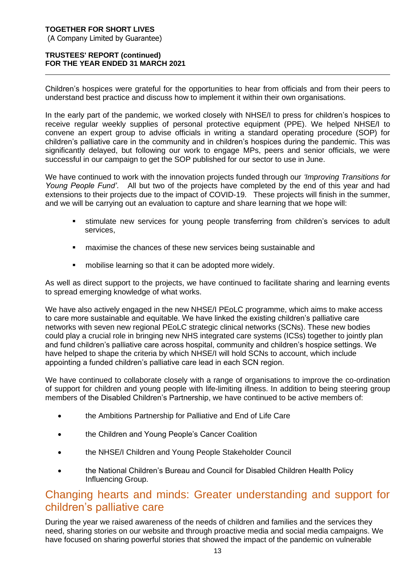#### **TRUSTEES' REPORT (continued) FOR THE YEAR ENDED 31 MARCH 2021**

Children's hospices were grateful for the opportunities to hear from officials and from their peers to understand best practice and discuss how to implement it within their own organisations.

In the early part of the pandemic, we worked closely with NHSE/I to press for children's hospices to receive regular weekly supplies of personal protective equipment (PPE). We helped NHSE/I to convene an expert group to advise officials in writing a standard operating procedure (SOP) for children's palliative care in the community and in children's hospices during the pandemic. This was significantly delayed, but following our work to engage MPs, peers and senior officials, we were successful in our campaign to get the SOP published for our sector to use in June.

We have continued to work with the innovation projects funded through our *'Improving Transitions for Young People Fund'*. All but two of the projects have completed by the end of this year and had extensions to their projects due to the impact of COVID-19. These projects will finish in the summer, and we will be carrying out an evaluation to capture and share learning that we hope will:

- **.** stimulate new services for young people transferring from children's services to adult services,
- maximise the chances of these new services being sustainable and
- **•** mobilise learning so that it can be adopted more widely.

As well as direct support to the projects, we have continued to facilitate sharing and learning events to spread emerging knowledge of what works.

We have also actively engaged in the new NHSE/I PEoLC programme, which aims to make access to care more sustainable and equitable. We have linked the existing children's palliative care networks with seven new regional PEoLC strategic clinical networks (SCNs). These new bodies could play a crucial role in bringing new NHS integrated care systems (ICSs) together to jointly plan and fund children's palliative care across hospital, community and children's hospice settings. We have helped to shape the criteria by which NHSE/I will hold SCNs to account, which include appointing a funded children's palliative care lead in each SCN region.

We have continued to collaborate closely with a range of organisations to improve the co-ordination of support for children and young people with life-limiting illness. In addition to being steering group members of the Disabled Children's Partnership, we have continued to be active members of:

- the Ambitions Partnership for Palliative and End of Life Care
- the Children and Young People's Cancer Coalition
- the NHSE/I Children and Young People Stakeholder Council
- the National Children's Bureau and Council for Disabled Children Health Policy Influencing Group.

### Changing hearts and minds: Greater understanding and support for children's palliative care

During the year we raised awareness of the needs of children and families and the services they need, sharing stories on our website and through proactive media and social media campaigns. We have focused on sharing powerful stories that showed the impact of the pandemic on vulnerable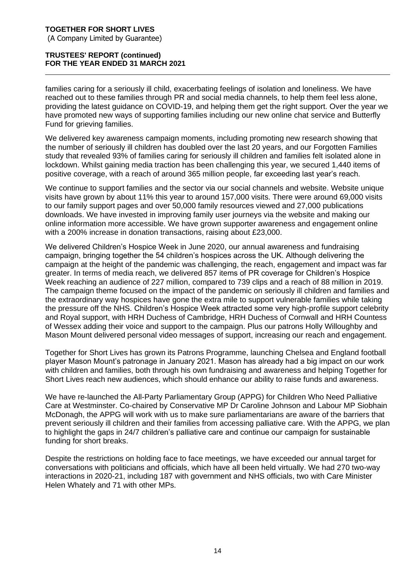#### **TRUSTEES' REPORT (continued) FOR THE YEAR ENDED 31 MARCH 2021**

families caring for a seriously ill child, exacerbating feelings of isolation and loneliness. We have reached out to these families through PR and social media channels, to help them feel less alone, providing the latest guidance on COVID-19, and helping them get the right support. Over the year we have promoted new ways of supporting families including our new online chat service and Butterfly Fund for grieving families.

We delivered key awareness campaign moments, including promoting new research showing that the number of seriously ill children has doubled over the last 20 years, and our Forgotten Families study that revealed 93% of families caring for seriously ill children and families felt isolated alone in lockdown. Whilst gaining media traction has been challenging this year, we secured 1,440 items of positive coverage, with a reach of around 365 million people, far exceeding last year's reach.

We continue to support families and the sector via our social channels and website. Website unique visits have grown by about 11% this year to around 157,000 visits. There were around 69,000 visits to our family support pages and over 50,000 family resources viewed and 27,000 publications downloads. We have invested in improving family user journeys via the website and making our online information more accessible. We have grown supporter awareness and engagement online with a 200% increase in donation transactions, raising about £23,000.

We delivered Children's Hospice Week in June 2020, our annual awareness and fundraising campaign, bringing together the 54 children's hospices across the UK. Although delivering the campaign at the height of the pandemic was challenging, the reach, engagement and impact was far greater. In terms of media reach, we delivered 857 items of PR coverage for Children's Hospice Week reaching an audience of 227 million, compared to 739 clips and a reach of 88 million in 2019. The campaign theme focused on the impact of the pandemic on seriously ill children and families and the extraordinary way hospices have gone the extra mile to support vulnerable families while taking the pressure off the NHS. Children's Hospice Week attracted some very high-profile support celebrity and Royal support, with HRH Duchess of Cambridge, HRH Duchess of Cornwall and HRH Countess of Wessex adding their voice and support to the campaign. Plus our patrons Holly Willoughby and Mason Mount delivered personal video messages of support, increasing our reach and engagement.

Together for Short Lives has grown its Patrons Programme, launching Chelsea and England football player Mason Mount's patronage in January 2021. Mason has already had a big impact on our work with children and families, both through his own fundraising and awareness and helping Together for Short Lives reach new audiences, which should enhance our ability to raise funds and awareness.

We have re-launched the All-Party Parliamentary Group (APPG) for Children Who Need Palliative Care at Westminster. Co-chaired by Conservative MP Dr Caroline Johnson and Labour MP Siobhain McDonagh, the APPG will work with us to make sure parliamentarians are aware of the barriers that prevent seriously ill children and their families from accessing palliative care. With the APPG, we plan to highlight the gaps in 24/7 children's palliative care and continue our campaign for sustainable funding for short breaks.

Despite the restrictions on holding face to face meetings, we have exceeded our annual target for conversations with politicians and officials, which have all been held virtually. We had 270 two-way interactions in 2020-21, including 187 with government and NHS officials, two with Care Minister Helen Whately and 71 with other MPs.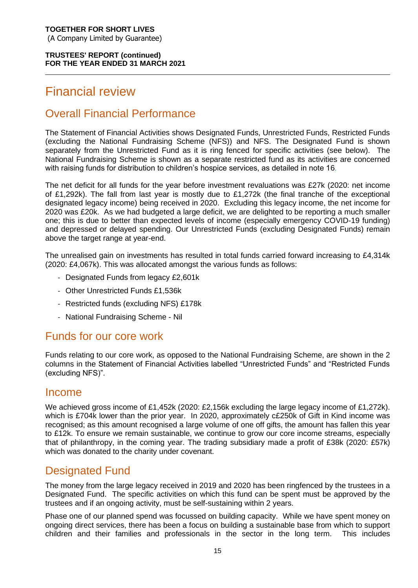### Financial review

### Overall Financial Performance

The Statement of Financial Activities shows Designated Funds, Unrestricted Funds, Restricted Funds (excluding the National Fundraising Scheme (NFS)) and NFS. The Designated Fund is shown separately from the Unrestricted Fund as it is ring fenced for specific activities (see below). The National Fundraising Scheme is shown as a separate restricted fund as its activities are concerned with raising funds for distribution to children's hospice services, as detailed in note 16.

The net deficit for all funds for the year before investment revaluations was £27k (2020: net income of £1,292k). The fall from last year is mostly due to £1,272k (the final tranche of the exceptional designated legacy income) being received in 2020. Excluding this legacy income, the net income for 2020 was £20k. As we had budgeted a large deficit, we are delighted to be reporting a much smaller one; this is due to better than expected levels of income (especially emergency COVID-19 funding) and depressed or delayed spending. Our Unrestricted Funds (excluding Designated Funds) remain above the target range at year-end.

The unrealised gain on investments has resulted in total funds carried forward increasing to £4,314k (2020: £4,067k). This was allocated amongst the various funds as follows:

- Designated Funds from legacy £2,601k
- Other Unrestricted Funds £1,536k
- Restricted funds (excluding NFS) £178k
- National Fundraising Scheme Nil

### Funds for our core work

Funds relating to our core work, as opposed to the National Fundraising Scheme, are shown in the 2 columns in the Statement of Financial Activities labelled "Unrestricted Funds" and "Restricted Funds (excluding NFS)".

### Income

We achieved gross income of £1,452k (2020: £2,156k excluding the large legacy income of £1,272k). which is £704k lower than the prior year. In 2020, approximately c£250k of Gift in Kind income was recognised; as this amount recognised a large volume of one off gifts, the amount has fallen this year to £12k. To ensure we remain sustainable, we continue to grow our core income streams, especially that of philanthropy, in the coming year. The trading subsidiary made a profit of £38k (2020: £57k) which was donated to the charity under covenant.

### Designated Fund

The money from the large legacy received in 2019 and 2020 has been ringfenced by the trustees in a Designated Fund. The specific activities on which this fund can be spent must be approved by the trustees and if an ongoing activity, must be self-sustaining within 2 years.

Phase one of our planned spend was focussed on building capacity. While we have spent money on ongoing direct services, there has been a focus on building a sustainable base from which to support children and their families and professionals in the sector in the long term. This includes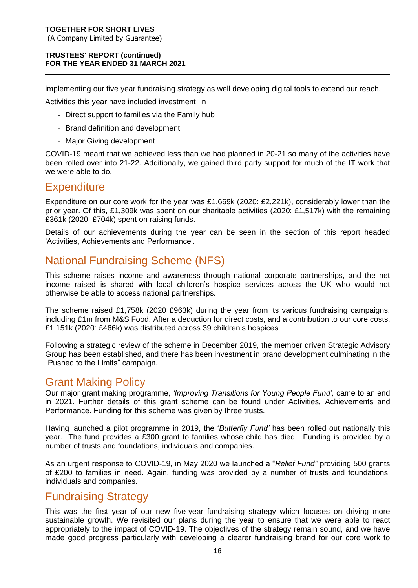#### **TRUSTEES' REPORT (continued) FOR THE YEAR ENDED 31 MARCH 2021**

implementing our five year fundraising strategy as well developing digital tools to extend our reach.

Activities this year have included investment in

- Direct support to families via the Family hub
- Brand definition and development
- Major Giving development

COVID-19 meant that we achieved less than we had planned in 20-21 so many of the activities have been rolled over into 21-22. Additionally, we gained third party support for much of the IT work that we were able to do.

### **Expenditure**

Expenditure on our core work for the year was £1,669k (2020: £2,221k), considerably lower than the prior year. Of this, £1,309k was spent on our charitable activities (2020: £1,517k) with the remaining £361k (2020: £704k) spent on raising funds.

Details of our achievements during the year can be seen in the section of this report headed 'Activities, Achievements and Performance'.

### National Fundraising Scheme (NFS)

This scheme raises income and awareness through national corporate partnerships, and the net income raised is shared with local children's hospice services across the UK who would not otherwise be able to access national partnerships.

The scheme raised £1,758k (2020 £963k) during the year from its various fundraising campaigns, including £1m from M&S Food. After a deduction for direct costs, and a contribution to our core costs, £1,151k (2020: £466k) was distributed across 39 children's hospices.

Following a strategic review of the scheme in December 2019, the member driven Strategic Advisory Group has been established, and there has been investment in brand development culminating in the "Pushed to the Limits" campaign.

### Grant Making Policy

Our major grant making programme, *'Improving Transitions for Young People Fund',* came to an end in 2021. Further details of this grant scheme can be found under Activities, Achievements and Performance. Funding for this scheme was given by three trusts.

Having launched a pilot programme in 2019, the '*Butterfly Fund'* has been rolled out nationally this year. The fund provides a £300 grant to families whose child has died. Funding is provided by a number of trusts and foundations, individuals and companies.

As an urgent response to COVID-19, in May 2020 we launched a "*Relief Fund"* providing 500 grants of £200 to families in need. Again, funding was provided by a number of trusts and foundations, individuals and companies.

### Fundraising Strategy

This was the first year of our new five-year fundraising strategy which focuses on driving more sustainable growth. We revisited our plans during the year to ensure that we were able to react appropriately to the impact of COVID-19. The objectives of the strategy remain sound, and we have made good progress particularly with developing a clearer fundraising brand for our core work to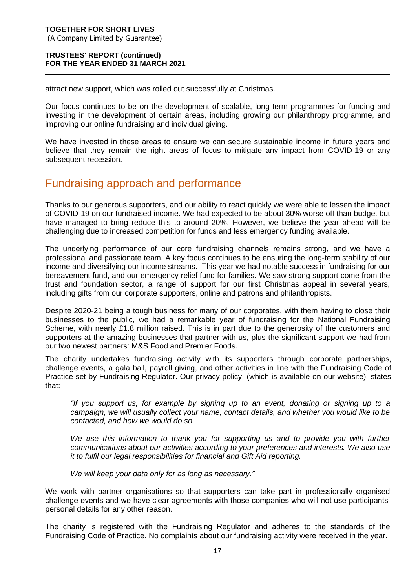#### **TRUSTEES' REPORT (continued) FOR THE YEAR ENDED 31 MARCH 2021**

attract new support, which was rolled out successfully at Christmas.

Our focus continues to be on the development of scalable, long-term programmes for funding and investing in the development of certain areas, including growing our philanthropy programme, and improving our online fundraising and individual giving.

We have invested in these areas to ensure we can secure sustainable income in future years and believe that they remain the right areas of focus to mitigate any impact from COVID-19 or any subsequent recession.

### Fundraising approach and performance

Thanks to our generous supporters, and our ability to react quickly we were able to lessen the impact of COVID-19 on our fundraised income. We had expected to be about 30% worse off than budget but have managed to bring reduce this to around 20%. However, we believe the year ahead will be challenging due to increased competition for funds and less emergency funding available.

The underlying performance of our core fundraising channels remains strong, and we have a professional and passionate team. A key focus continues to be ensuring the long-term stability of our income and diversifying our income streams. This year we had notable success in fundraising for our bereavement fund, and our emergency relief fund for families. We saw strong support come from the trust and foundation sector, a range of support for our first Christmas appeal in several years, including gifts from our corporate supporters, online and patrons and philanthropists.

Despite 2020-21 being a tough business for many of our corporates, with them having to close their businesses to the public, we had a remarkable year of fundraising for the National Fundraising Scheme, with nearly £1.8 million raised. This is in part due to the generosity of the customers and supporters at the amazing businesses that partner with us, plus the significant support we had from our two newest partners: M&S Food and Premier Foods.

The charity undertakes fundraising activity with its supporters through corporate partnerships, challenge events, a gala ball, payroll giving, and other activities in line with the Fundraising Code of Practice set by Fundraising Regulator. Our privacy policy, (which is available on our website), states that:

*"If you support us, for example by signing up to an event, donating or signing up to a campaign, we will usually collect your name, contact details, and whether you would like to be contacted, and how we would do so.* 

*We use this information to thank you for supporting us and to provide you with further communications about our activities according to your preferences and interests. We also use it to fulfil our legal responsibilities for financial and Gift Aid reporting.*

*We will keep your data only for as long as necessary."*

We work with partner organisations so that supporters can take part in professionally organised challenge events and we have clear agreements with those companies who will not use participants' personal details for any other reason.

The charity is registered with the Fundraising Regulator and adheres to the standards of the Fundraising Code of Practice. No complaints about our fundraising activity were received in the year.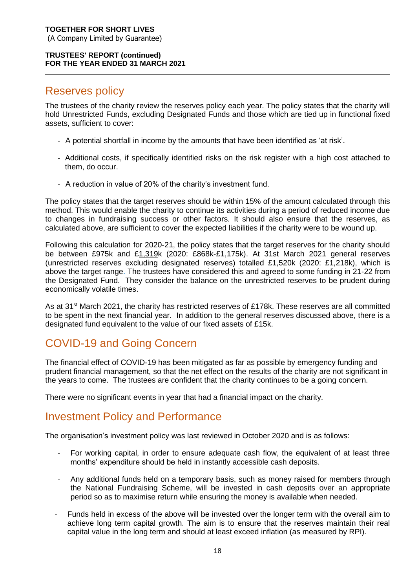### Reserves policy

The trustees of the charity review the reserves policy each year. The policy states that the charity will hold Unrestricted Funds, excluding Designated Funds and those which are tied up in functional fixed assets, sufficient to cover:

- A potential shortfall in income by the amounts that have been identified as 'at risk'.
- Additional costs, if specifically identified risks on the risk register with a high cost attached to them, do occur.
- A reduction in value of 20% of the charity's investment fund.

The policy states that the target reserves should be within 15% of the amount calculated through this method. This would enable the charity to continue its activities during a period of reduced income due to changes in fundraising success or other factors. It should also ensure that the reserves, as calculated above, are sufficient to cover the expected liabilities if the charity were to be wound up.

Following this calculation for 2020-21, the policy states that the target reserves for the charity should be between £975k and £1,319k (2020: £868k-£1,175k). At 31st March 2021 general reserves (unrestricted reserves excluding designated reserves) totalled £1,520k (2020: £1,218k), which is above the target range. The trustees have considered this and agreed to some funding in 21-22 from the Designated Fund. They consider the balance on the unrestricted reserves to be prudent during economically volatile times.

As at 31<sup>st</sup> March 2021, the charity has restricted reserves of £178k. These reserves are all committed to be spent in the next financial year. In addition to the general reserves discussed above, there is a designated fund equivalent to the value of our fixed assets of £15k.

### COVID-19 and Going Concern

The financial effect of COVID-19 has been mitigated as far as possible by emergency funding and prudent financial management, so that the net effect on the results of the charity are not significant in the years to come. The trustees are confident that the charity continues to be a going concern.

There were no significant events in year that had a financial impact on the charity.

### Investment Policy and Performance

The organisation's investment policy was last reviewed in October 2020 and is as follows:

- For working capital, in order to ensure adequate cash flow, the equivalent of at least three months' expenditure should be held in instantly accessible cash deposits.
- Any additional funds held on a temporary basis, such as money raised for members through the National Fundraising Scheme, will be invested in cash deposits over an appropriate period so as to maximise return while ensuring the money is available when needed.
- Funds held in excess of the above will be invested over the longer term with the overall aim to achieve long term capital growth. The aim is to ensure that the reserves maintain their real capital value in the long term and should at least exceed inflation (as measured by RPI).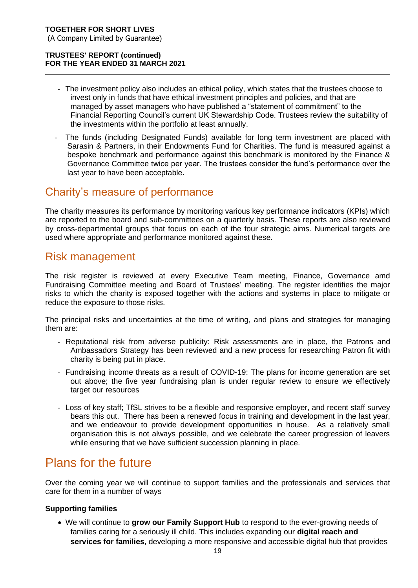- The investment policy also includes an ethical policy, which states that the trustees choose to invest only in funds that have ethical investment principles and policies, and that are managed by asset managers who have published a "statement of commitment" to the Financial Reporting Council's current UK Stewardship Code. Trustees review the suitability of the investments within the portfolio at least annually.
- The funds (including Designated Funds) available for long term investment are placed with Sarasin & Partners, in their Endowments Fund for Charities. The fund is measured against a bespoke benchmark and performance against this benchmark is monitored by the Finance & Governance Committee twice per year. The trustees consider the fund's performance over the last year to have been acceptable**.**

### Charity's measure of performance

The charity measures its performance by monitoring various key performance indicators (KPIs) which are reported to the board and sub-committees on a quarterly basis. These reports are also reviewed by cross-departmental groups that focus on each of the four strategic aims. Numerical targets are used where appropriate and performance monitored against these.

### Risk management

The risk register is reviewed at every Executive Team meeting, Finance, Governance amd Fundraising Committee meeting and Board of Trustees' meeting. The register identifies the major risks to which the charity is exposed together with the actions and systems in place to mitigate or reduce the exposure to those risks.

The principal risks and uncertainties at the time of writing, and plans and strategies for managing them are:

- Reputational risk from adverse publicity: Risk assessments are in place, the Patrons and Ambassadors Strategy has been reviewed and a new process for researching Patron fit with charity is being put in place.
- Fundraising income threats as a result of COVID-19: The plans for income generation are set out above; the five year fundraising plan is under regular review to ensure we effectively target our resources
- Loss of key staff; TfSL strives to be a flexible and responsive employer, and recent staff survey bears this out. There has been a renewed focus in training and development in the last year, and we endeavour to provide development opportunities in house. As a relatively small organisation this is not always possible, and we celebrate the career progression of leavers while ensuring that we have sufficient succession planning in place.

### Plans for the future

Over the coming year we will continue to support families and the professionals and services that care for them in a number of ways

#### **Supporting families**

• We will continue to **grow our Family Support Hub** to respond to the ever-growing needs of families caring for a seriously ill child. This includes expanding our **digital reach and services for families,** developing a more responsive and accessible digital hub that provides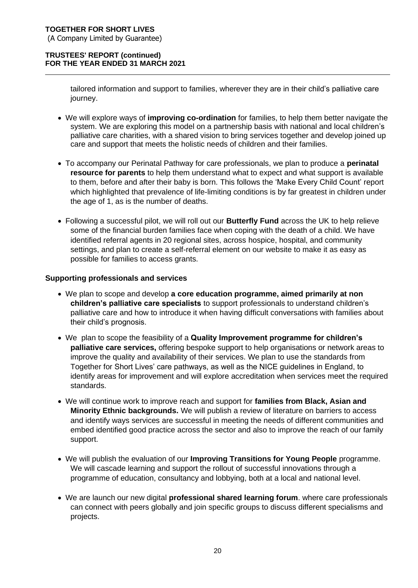tailored information and support to families, wherever they are in their child's palliative care journey.

- We will explore ways of **improving co-ordination** for families, to help them better navigate the system. We are exploring this model on a partnership basis with national and local children's palliative care charities, with a shared vision to bring services together and develop joined up care and support that meets the holistic needs of children and their families.
- To accompany our Perinatal Pathway for care professionals, we plan to produce a **perinatal resource for parents** to help them understand what to expect and what support is available to them, before and after their baby is born. This follows the 'Make Every Child Count' report which highlighted that prevalence of life-limiting conditions is by far greatest in children under the age of 1, as is the number of deaths.
- Following a successful pilot, we will roll out our **Butterfly Fund** across the UK to help relieve some of the financial burden families face when coping with the death of a child. We have identified referral agents in 20 regional sites, across hospice, hospital, and community settings, and plan to create a self-referral element on our website to make it as easy as possible for families to access grants.

#### **Supporting professionals and services**

- We plan to scope and develop **a core education programme, aimed primarily at non children's palliative care specialists** to support professionals to understand children's palliative care and how to introduce it when having difficult conversations with families about their child's prognosis.
- We plan to scope the feasibility of a **Quality Improvement programme for children's palliative care services,** offering bespoke support to help organisations or network areas to improve the quality and availability of their services. We plan to use the standards from Together for Short Lives' care pathways, as well as the NICE guidelines in England, to identify areas for improvement and will explore accreditation when services meet the required standards.
- We will continue work to improve reach and support for **families from Black, Asian and Minority Ethnic backgrounds.** We will publish a review of literature on barriers to access and identify ways services are successful in meeting the needs of different communities and embed identified good practice across the sector and also to improve the reach of our family support.
- We will publish the evaluation of our **Improving Transitions for Young People** programme. We will cascade learning and support the rollout of successful innovations through a programme of education, consultancy and lobbying, both at a local and national level.
- We are launch our new digital **professional shared learning forum**. where care professionals can connect with peers globally and join specific groups to discuss different specialisms and projects.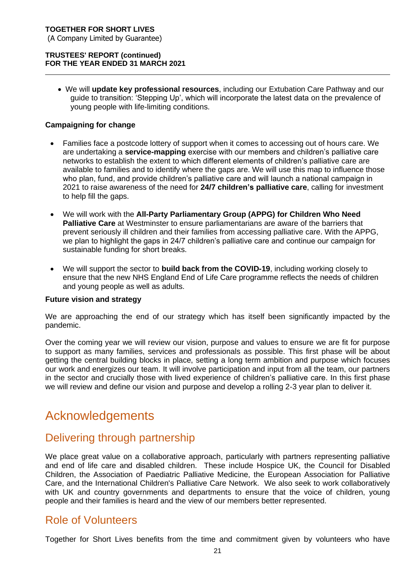(A Company Limited by Guarantee)

#### **TRUSTEES' REPORT (continued) FOR THE YEAR ENDED 31 MARCH 2021**

• We will **update key professional resources**, including our Extubation Care Pathway and our guide to transition: 'Stepping Up', which will incorporate the latest data on the prevalence of young people with life-limiting conditions.

#### **Campaigning for change**

- Families face a postcode lottery of support when it comes to accessing out of hours care. We are undertaking a **service-mapping** exercise with our members and children's palliative care networks to establish the extent to which different elements of children's palliative care are available to families and to identify where the gaps are. We will use this map to influence those who plan, fund, and provide children's palliative care and will launch a national campaign in 2021 to raise awareness of the need for **24/7 children's palliative care**, calling for investment to help fill the gaps.
- We will work with the **All-Party Parliamentary Group (APPG) for Children Who Need Palliative Care** at Westminster to ensure parliamentarians are aware of the barriers that prevent seriously ill children and their families from accessing palliative care. With the APPG, we plan to highlight the gaps in 24/7 children's palliative care and continue our campaign for sustainable funding for short breaks.
- We will support the sector to **build back from the COVID-19**, including working closely to ensure that the new NHS England End of Life Care programme reflects the needs of children and young people as well as adults.

#### **Future vision and strategy**

We are approaching the end of our strategy which has itself been significantly impacted by the pandemic.

Over the coming year we will review our vision, purpose and values to ensure we are fit for purpose to support as many families, services and professionals as possible. This first phase will be about getting the central building blocks in place, setting a long term ambition and purpose which focuses our work and energizes our team. It will involve participation and input from all the team, our partners in the sector and crucially those with lived experience of children's palliative care. In this first phase we will review and define our vision and purpose and develop a rolling 2-3 year plan to deliver it.

### Acknowledgements

### Delivering through partnership

We place great value on a collaborative approach, particularly with partners representing palliative and end of life care and disabled children. These include Hospice UK, the Council for Disabled Children, the Association of Paediatric Palliative Medicine, the European Association for Palliative Care, and the International Children's Palliative Care Network. We also seek to work collaboratively with UK and country governments and departments to ensure that the voice of children, young people and their families is heard and the view of our members better represented.

### Role of Volunteers

Together for Short Lives benefits from the time and commitment given by volunteers who have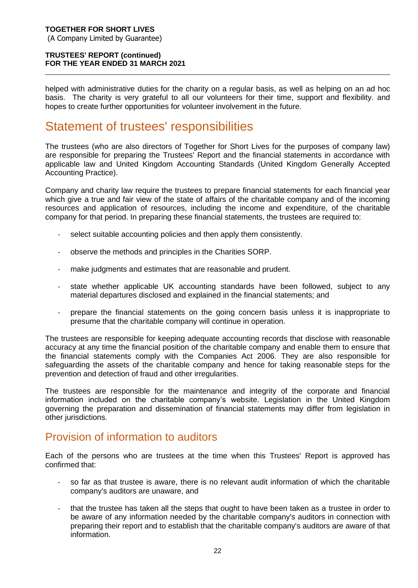helped with administrative duties for the charity on a regular basis, as well as helping on an ad hoc basis. The charity is very grateful to all our volunteers for their time, support and flexibility. and hopes to create further opportunities for volunteer involvement in the future.

### Statement of trustees' responsibilities

The trustees (who are also directors of Together for Short Lives for the purposes of company law) are responsible for preparing the Trustees' Report and the financial statements in accordance with applicable law and United Kingdom Accounting Standards (United Kingdom Generally Accepted Accounting Practice).

Company and charity law require the trustees to prepare financial statements for each financial year which give a true and fair view of the state of affairs of the charitable company and of the incoming resources and application of resources, including the income and expenditure, of the charitable company for that period. In preparing these financial statements, the trustees are required to:

- select suitable accounting policies and then apply them consistently.
- observe the methods and principles in the Charities SORP.
- make judgments and estimates that are reasonable and prudent.
- state whether applicable UK accounting standards have been followed, subject to any material departures disclosed and explained in the financial statements; and
- prepare the financial statements on the going concern basis unless it is inappropriate to presume that the charitable company will continue in operation.

The trustees are responsible for keeping adequate accounting records that disclose with reasonable accuracy at any time the financial position of the charitable company and enable them to ensure that the financial statements comply with the Companies Act 2006. They are also responsible for safeguarding the assets of the charitable company and hence for taking reasonable steps for the prevention and detection of fraud and other irregularities.

The trustees are responsible for the maintenance and integrity of the corporate and financial information included on the charitable company's website. Legislation in the United Kingdom governing the preparation and dissemination of financial statements may differ from legislation in other jurisdictions.

### Provision of information to auditors

Each of the persons who are trustees at the time when this Trustees' Report is approved has confirmed that:

- so far as that trustee is aware, there is no relevant audit information of which the charitable company's auditors are unaware, and
- that the trustee has taken all the steps that ought to have been taken as a trustee in order to be aware of any information needed by the charitable company's auditors in connection with preparing their report and to establish that the charitable company's auditors are aware of that information.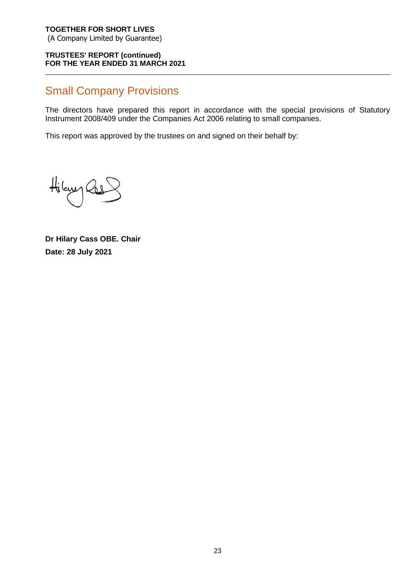#### **TRUSTEES' REPORT (continued) FOR THE YEAR ENDED 31 MARCH 2021**

### Small Company Provisions

The directors have prepared this report in accordance with the special provisions of Statutory Instrument 2008/409 under the Companies Act 2006 relating to small companies.

This report was approved by the trustees on and signed on their behalf by:

Hilayy Cas

**Dr Hilary Cass OBE. Chair Date: 28 July 2021**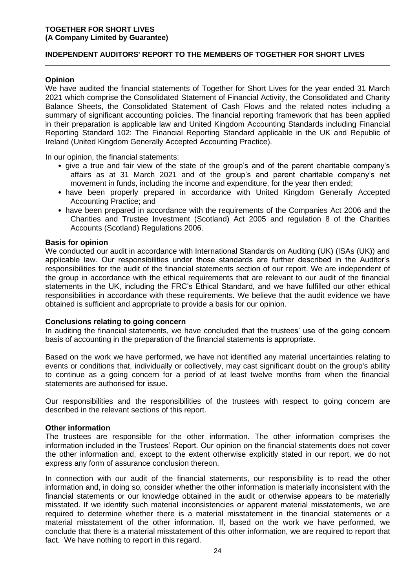#### **INDEPENDENT AUDITORS' REPORT TO THE MEMBERS OF TOGETHER FOR SHORT LIVES**

#### **Opinion**

We have audited the financial statements of Together for Short Lives for the year ended 31 March 2021 which comprise the Consolidated Statement of Financial Activity, the Consolidated and Charity Balance Sheets, the Consolidated Statement of Cash Flows and the related notes including a summary of significant accounting policies. The financial reporting framework that has been applied in their preparation is applicable law and United Kingdom Accounting Standards including Financial Reporting Standard 102: The Financial Reporting Standard applicable in the UK and Republic of Ireland (United Kingdom Generally Accepted Accounting Practice).

In our opinion, the financial statements:

- give a true and fair view of the state of the group's and of the parent charitable company's affairs as at 31 March 2021 and of the group's and parent charitable company's net movement in funds, including the income and expenditure, for the year then ended;
- have been properly prepared in accordance with United Kingdom Generally Accepted Accounting Practice; and
- have been prepared in accordance with the requirements of the Companies Act 2006 and the Charities and Trustee Investment (Scotland) Act 2005 and regulation 8 of the Charities Accounts (Scotland) Regulations 2006.

#### **Basis for opinion**

We conducted our audit in accordance with International Standards on Auditing (UK) (ISAs (UK)) and applicable law. Our responsibilities under those standards are further described in the Auditor's responsibilities for the audit of the financial statements section of our report. We are independent of the group in accordance with the ethical requirements that are relevant to our audit of the financial statements in the UK, including the FRC's Ethical Standard, and we have fulfilled our other ethical responsibilities in accordance with these requirements. We believe that the audit evidence we have obtained is sufficient and appropriate to provide a basis for our opinion.

#### **Conclusions relating to going concern**

In auditing the financial statements, we have concluded that the trustees' use of the going concern basis of accounting in the preparation of the financial statements is appropriate.

Based on the work we have performed, we have not identified any material uncertainties relating to events or conditions that, individually or collectively, may cast significant doubt on the group's ability to continue as a going concern for a period of at least twelve months from when the financial statements are authorised for issue.

Our responsibilities and the responsibilities of the trustees with respect to going concern are described in the relevant sections of this report.

#### **Other information**

The trustees are responsible for the other information. The other information comprises the information included in the Trustees' Report. Our opinion on the financial statements does not cover the other information and, except to the extent otherwise explicitly stated in our report, we do not express any form of assurance conclusion thereon.

In connection with our audit of the financial statements, our responsibility is to read the other information and, in doing so, consider whether the other information is materially inconsistent with the financial statements or our knowledge obtained in the audit or otherwise appears to be materially misstated. If we identify such material inconsistencies or apparent material misstatements, we are required to determine whether there is a material misstatement in the financial statements or a material misstatement of the other information. If, based on the work we have performed, we conclude that there is a material misstatement of this other information, we are required to report that fact. We have nothing to report in this regard.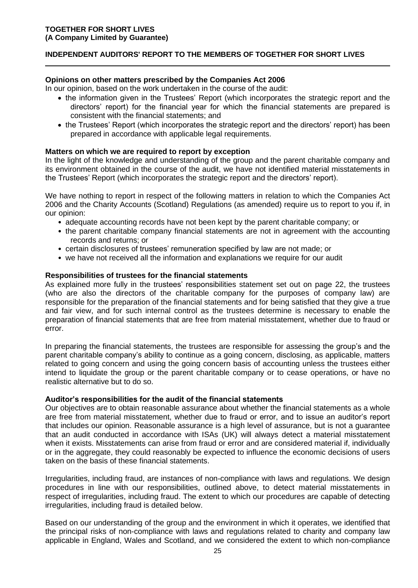#### **INDEPENDENT AUDITORS' REPORT TO THE MEMBERS OF TOGETHER FOR SHORT LIVES**

#### **Opinions on other matters prescribed by the Companies Act 2006**

In our opinion, based on the work undertaken in the course of the audit:

- the information given in the Trustees' Report (which incorporates the strategic report and the directors' report) for the financial year for which the financial statements are prepared is consistent with the financial statements; and
- the Trustees' Report (which incorporates the strategic report and the directors' report) has been prepared in accordance with applicable legal requirements.

#### **Matters on which we are required to report by exception**

In the light of the knowledge and understanding of the group and the parent charitable company and its environment obtained in the course of the audit, we have not identified material misstatements in the Trustees' Report (which incorporates the strategic report and the directors' report).

We have nothing to report in respect of the following matters in relation to which the Companies Act 2006 and the Charity Accounts (Scotland) Regulations (as amended) require us to report to you if, in our opinion:

- adequate accounting records have not been kept by the parent charitable company; or
- the parent charitable company financial statements are not in agreement with the accounting records and returns; or
- certain disclosures of trustees' remuneration specified by law are not made; or
- we have not received all the information and explanations we require for our audit

#### **Responsibilities of trustees for the financial statements**

As explained more fully in the trustees' responsibilities statement set out on page 22, the trustees (who are also the directors of the charitable company for the purposes of company law) are responsible for the preparation of the financial statements and for being satisfied that they give a true and fair view, and for such internal control as the trustees determine is necessary to enable the preparation of financial statements that are free from material misstatement, whether due to fraud or error.

In preparing the financial statements, the trustees are responsible for assessing the group's and the parent charitable company's ability to continue as a going concern, disclosing, as applicable, matters related to going concern and using the going concern basis of accounting unless the trustees either intend to liquidate the group or the parent charitable company or to cease operations, or have no realistic alternative but to do so.

#### **Auditor's responsibilities for the audit of the financial statements**

Our objectives are to obtain reasonable assurance about whether the financial statements as a whole are free from material misstatement, whether due to fraud or error, and to issue an auditor's report that includes our opinion. Reasonable assurance is a high level of assurance, but is not a guarantee that an audit conducted in accordance with ISAs (UK) will always detect a material misstatement when it exists. Misstatements can arise from fraud or error and are considered material if, individually or in the aggregate, they could reasonably be expected to influence the economic decisions of users taken on the basis of these financial statements.

Irregularities, including fraud, are instances of non-compliance with laws and regulations. We design procedures in line with our responsibilities, outlined above, to detect material misstatements in respect of irregularities, including fraud. The extent to which our procedures are capable of detecting irregularities, including fraud is detailed below.

Based on our understanding of the group and the environment in which it operates, we identified that the principal risks of non-compliance with laws and regulations related to charity and company law applicable in England, Wales and Scotland, and we considered the extent to which non-compliance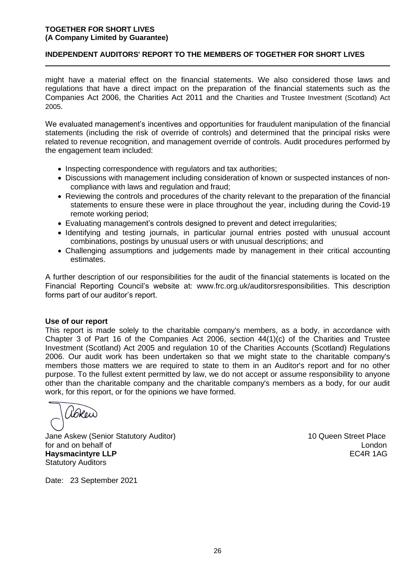#### **INDEPENDENT AUDITORS' REPORT TO THE MEMBERS OF TOGETHER FOR SHORT LIVES**

might have a material effect on the financial statements. We also considered those laws and regulations that have a direct impact on the preparation of the financial statements such as the Companies Act 2006, the Charities Act 2011 and the Charities and Trustee Investment (Scotland) Act 2005.

We evaluated management's incentives and opportunities for fraudulent manipulation of the financial statements (including the risk of override of controls) and determined that the principal risks were related to revenue recognition, and management override of controls. Audit procedures performed by the engagement team included:

- Inspecting correspondence with regulators and tax authorities;
- Discussions with management including consideration of known or suspected instances of noncompliance with laws and regulation and fraud;
- Reviewing the controls and procedures of the charity relevant to the preparation of the financial statements to ensure these were in place throughout the year, including during the Covid-19 remote working period;
- Evaluating management's controls designed to prevent and detect irregularities;
- Identifying and testing journals, in particular journal entries posted with unusual account combinations, postings by unusual users or with unusual descriptions; and
- Challenging assumptions and judgements made by management in their critical accounting estimates.

A further description of our responsibilities for the audit of the financial statements is located on the Financial Reporting Council's website at: [www.frc.org.uk/auditorsresponsibilities.](http://www.frc.org.uk/auditorsresponsibilities) This description forms part of our auditor's report.

#### **Use of our report**

This report is made solely to the charitable company's members, as a body, in accordance with Chapter 3 of Part 16 of the Companies Act 2006, section 44(1)(c) of the Charities and Trustee Investment (Scotland) Act 2005 and regulation 10 of the Charities Accounts (Scotland) Regulations 2006. Our audit work has been undertaken so that we might state to the charitable company's members those matters we are required to state to them in an Auditor's report and for no other purpose. To the fullest extent permitted by law, we do not accept or assume responsibility to anyone other than the charitable company and the charitable company's members as a body, for our audit work, for this report, or for the opinions we have formed.

l'Breu)

Jane Askew (Senior Statutory Auditor) 10 Queen Street Place for and on behalf of **London London Haysmacintyre LLP ECAR 1AG** Statutory Auditors

Date: 23 September 2021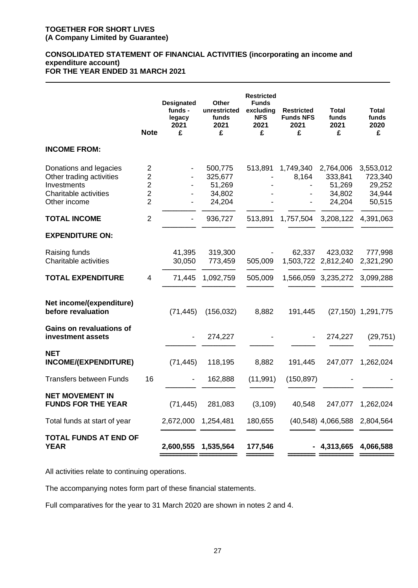#### **CONSOLIDATED STATEMENT OF FINANCIAL ACTIVITIES (incorporating an income and expenditure account) FOR THE YEAR ENDED 31 MARCH 2021**

|                                                                                                            | <b>Note</b>                                                                         | <b>Designated</b><br>funds -<br>legacy<br>2021<br>£ | Other<br>unrestricted<br>funds<br>2021<br>£      | <b>Restricted</b><br><b>Funds</b><br>excluding<br><b>NFS</b><br>2021<br>£ | <b>Restricted</b><br><b>Funds NFS</b><br>2021<br>£ | <b>Total</b><br>funds<br>2021<br>£                 | <b>Total</b><br>funds<br>2020<br>£                 |
|------------------------------------------------------------------------------------------------------------|-------------------------------------------------------------------------------------|-----------------------------------------------------|--------------------------------------------------|---------------------------------------------------------------------------|----------------------------------------------------|----------------------------------------------------|----------------------------------------------------|
| <b>INCOME FROM:</b>                                                                                        |                                                                                     |                                                     |                                                  |                                                                           |                                                    |                                                    |                                                    |
| Donations and legacies<br>Other trading activities<br>Investments<br>Charitable activities<br>Other income | $\overline{2}$<br>$\overline{2}$<br>$\mathbf 2$<br>$\overline{2}$<br>$\overline{2}$ |                                                     | 500,775<br>325,677<br>51,269<br>34,802<br>24,204 | 513,891                                                                   | 1,749,340<br>8,164                                 | 2,764,006<br>333,841<br>51,269<br>34,802<br>24,204 | 3,553,012<br>723,340<br>29,252<br>34,944<br>50,515 |
| <b>TOTAL INCOME</b>                                                                                        | $\overline{2}$                                                                      |                                                     | 936,727                                          | 513,891                                                                   | 1,757,504                                          | 3,208,122                                          | 4,391,063                                          |
| <b>EXPENDITURE ON:</b>                                                                                     |                                                                                     |                                                     |                                                  |                                                                           |                                                    |                                                    |                                                    |
| Raising funds<br>Charitable activities                                                                     |                                                                                     | 41,395<br>30,050                                    | 319,300<br>773,459                               | 505,009                                                                   | 62,337                                             | 423,032<br>1,503,722 2,812,240                     | 777,998<br>2,321,290                               |
| <b>TOTAL EXPENDITURE</b>                                                                                   | $\overline{4}$                                                                      | 71,445                                              | 1,092,759                                        | 505,009                                                                   |                                                    | 1,566,059 3,235,272                                | 3,099,288                                          |
| Net income/(expenditure)<br>before revaluation                                                             |                                                                                     | (71, 445)                                           | (156, 032)                                       | 8,882                                                                     | 191,445                                            |                                                    | $(27, 150)$ 1, 291, 775                            |
| <b>Gains on revaluations of</b><br>investment assets                                                       |                                                                                     |                                                     | 274,227                                          |                                                                           |                                                    | 274,227                                            | (29, 751)                                          |
| <b>NET</b><br>INCOME/(EXPENDITURE)                                                                         |                                                                                     | (71, 445)                                           | 118,195                                          | 8,882                                                                     | 191,445                                            | 247,077                                            | 1,262,024                                          |
| <b>Transfers between Funds</b>                                                                             | 16                                                                                  |                                                     | 162,888                                          | (11, 991)                                                                 | (150, 897)                                         |                                                    |                                                    |
| <b>NET MOVEMENT IN</b><br><b>FUNDS FOR THE YEAR</b>                                                        |                                                                                     | (71, 445)                                           | 281,083                                          | (3, 109)                                                                  | 40,548                                             |                                                    | 247,077 1,262,024                                  |
| Total funds at start of year                                                                               |                                                                                     | 2,672,000                                           | 1,254,481                                        | 180,655                                                                   |                                                    | (40,548) 4,066,588 2,804,564                       |                                                    |
| <b>TOTAL FUNDS AT END OF</b><br><b>YEAR</b>                                                                |                                                                                     | 2,600,555 1,535,564                                 |                                                  | 177,546                                                                   |                                                    | 4,313,665                                          | 4,066,588                                          |

All activities relate to continuing operations.

The accompanying notes form part of these financial statements.

Full comparatives for the year to 31 March 2020 are shown in notes 2 and 4.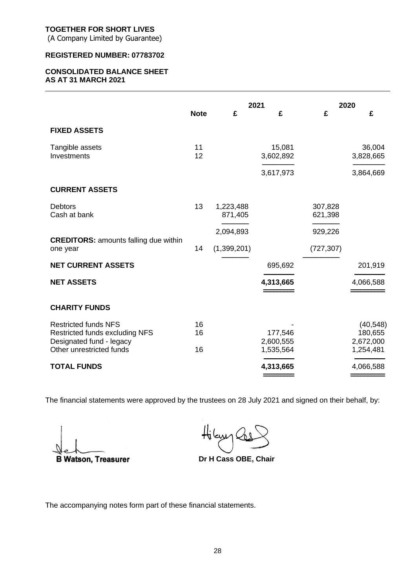(A Company Limited by Guarantee)

#### **REGISTERED NUMBER: 07783702**

#### **CONSOLIDATED BALANCE SHEET AS AT 31 MARCH 2021**

|                                                                                           | <b>Note</b> | 2021<br>£<br>£       |                      | 2020<br>£<br>£     |                                   |
|-------------------------------------------------------------------------------------------|-------------|----------------------|----------------------|--------------------|-----------------------------------|
| <b>FIXED ASSETS</b>                                                                       |             |                      |                      |                    |                                   |
| Tangible assets<br>Investments                                                            | 11<br>12    |                      | 15,081<br>3,602,892  |                    | 36,004<br>3,828,665               |
|                                                                                           |             |                      | 3,617,973            |                    | 3,864,669                         |
| <b>CURRENT ASSETS</b>                                                                     |             |                      |                      |                    |                                   |
| <b>Debtors</b><br>Cash at bank                                                            | 13          | 1,223,488<br>871,405 |                      | 307,828<br>621,398 |                                   |
|                                                                                           |             | 2,094,893            |                      | 929,226            |                                   |
| <b>CREDITORS: amounts falling due within</b><br>one year                                  | 14          | (1,399,201)          |                      | (727, 307)         |                                   |
| <b>NET CURRENT ASSETS</b>                                                                 |             |                      | 695,692              |                    | 201,919                           |
| <b>NET ASSETS</b>                                                                         |             |                      | 4,313,665            |                    | 4,066,588                         |
| <b>CHARITY FUNDS</b>                                                                      |             |                      |                      |                    |                                   |
| <b>Restricted funds NFS</b><br>Restricted funds excluding NFS<br>Designated fund - legacy | 16<br>16    |                      | 177,546<br>2,600,555 |                    | (40, 548)<br>180,655<br>2,672,000 |
| Other unrestricted funds                                                                  | 16          |                      | 1,535,564            |                    | 1,254,481                         |
| <b>TOTAL FUNDS</b>                                                                        |             |                      | 4,313,665            |                    | 4,066,588                         |

The financial statements were approved by the trustees on 28 July 2021 and signed on their behalf, by:

**B Watson, Treasurer** 

**Dr H Cass OBE, Chair**

The accompanying notes form part of these financial statements.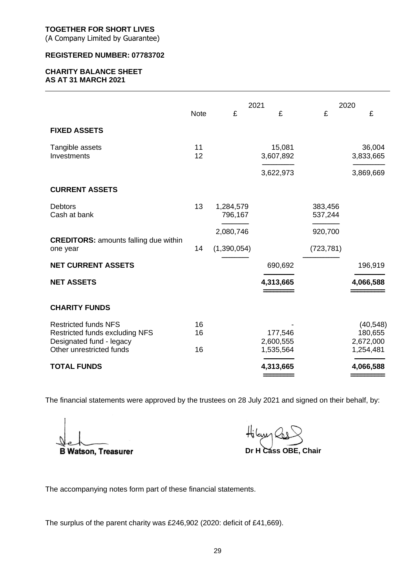(A Company Limited by Guarantee)

#### **REGISTERED NUMBER: 07783702**

#### **CHARITY BALANCE SHEET AS AT 31 MARCH 2021**

|                                                                                                                       | 2021           |                      | 2020                              |                    |                                                |
|-----------------------------------------------------------------------------------------------------------------------|----------------|----------------------|-----------------------------------|--------------------|------------------------------------------------|
|                                                                                                                       | <b>Note</b>    | £                    | £                                 | £                  | £                                              |
| <b>FIXED ASSETS</b>                                                                                                   |                |                      |                                   |                    |                                                |
| Tangible assets<br>Investments                                                                                        | 11<br>12       |                      | 15,081<br>3,607,892               |                    | 36,004<br>3,833,665                            |
|                                                                                                                       |                |                      | 3,622,973                         |                    | 3,869,669                                      |
| <b>CURRENT ASSETS</b>                                                                                                 |                |                      |                                   |                    |                                                |
| <b>Debtors</b><br>Cash at bank                                                                                        | 13             | 1,284,579<br>796,167 |                                   | 383,456<br>537,244 |                                                |
|                                                                                                                       |                | 2,080,746            |                                   | 920,700            |                                                |
| <b>CREDITORS: amounts falling due within</b><br>one year                                                              | 14             | (1,390,054)          |                                   | (723, 781)         |                                                |
| <b>NET CURRENT ASSETS</b>                                                                                             |                |                      | 690,692                           |                    | 196,919                                        |
| <b>NET ASSETS</b>                                                                                                     |                |                      | 4,313,665                         |                    | 4,066,588                                      |
| <b>CHARITY FUNDS</b>                                                                                                  |                |                      |                                   |                    |                                                |
| <b>Restricted funds NFS</b><br>Restricted funds excluding NFS<br>Designated fund - legacy<br>Other unrestricted funds | 16<br>16<br>16 |                      | 177,546<br>2,600,555<br>1,535,564 |                    | (40, 548)<br>180,655<br>2,672,000<br>1,254,481 |
| <b>TOTAL FUNDS</b>                                                                                                    |                |                      | 4,313,665                         |                    | 4,066,588                                      |
|                                                                                                                       |                |                      |                                   |                    |                                                |

The financial statements were approved by the trustees on 28 July 2021 and signed on their behalf, by:

**B Watson, Treasurer** 

Hilasyn  **Dr H Cass OBE, Chair**

The accompanying notes form part of these financial statements.

The surplus of the parent charity was £246,902 (2020: deficit of £41,669).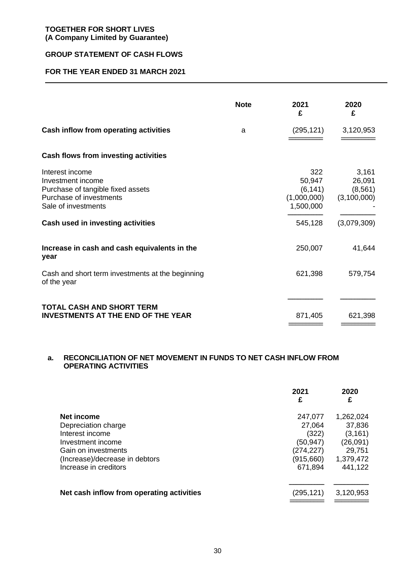#### **GROUP STATEMENT OF CASH FLOWS**

#### **FOR THE YEAR ENDED 31 MARCH 2021**

|                                                                                                                             | <b>Note</b> | 2021<br>£                                             | 2020<br>£                                  |
|-----------------------------------------------------------------------------------------------------------------------------|-------------|-------------------------------------------------------|--------------------------------------------|
| Cash inflow from operating activities                                                                                       | a           | (295, 121)                                            | 3,120,953                                  |
| Cash flows from investing activities                                                                                        |             |                                                       |                                            |
| Interest income<br>Investment income<br>Purchase of tangible fixed assets<br>Purchase of investments<br>Sale of investments |             | 322<br>50,947<br>(6, 141)<br>(1,000,000)<br>1,500,000 | 3,161<br>26,091<br>(8, 561)<br>(3,100,000) |
| Cash used in investing activities                                                                                           |             | 545,128                                               | (3,079,309)                                |
| Increase in cash and cash equivalents in the<br>year                                                                        |             | 250,007                                               | 41,644                                     |
| Cash and short term investments at the beginning<br>of the year                                                             |             | 621,398                                               | 579,754                                    |
| TOTAL CASH AND SHORT TERM<br><b>INVESTMENTS AT THE END OF THE YEAR</b>                                                      |             | 871,405                                               | 621,398                                    |

#### **a. RECONCILIATION OF NET MOVEMENT IN FUNDS TO NET CASH INFLOW FROM OPERATING ACTIVITIES**

|                                           | 2021<br>£  | 2020<br>£ |
|-------------------------------------------|------------|-----------|
| Net income                                | 247,077    | 1,262,024 |
| Depreciation charge                       | 27,064     | 37,836    |
| Interest income                           | (322)      | (3, 161)  |
| Investment income                         | (50,947)   | (26,091)  |
| Gain on investments                       | (274, 227) | 29,751    |
| (Increase)/decrease in debtors            | (915,660)  | 1,379,472 |
| Increase in creditors                     | 671,894    | 441,122   |
| Net cash inflow from operating activities | (295, 121) | 3,120,953 |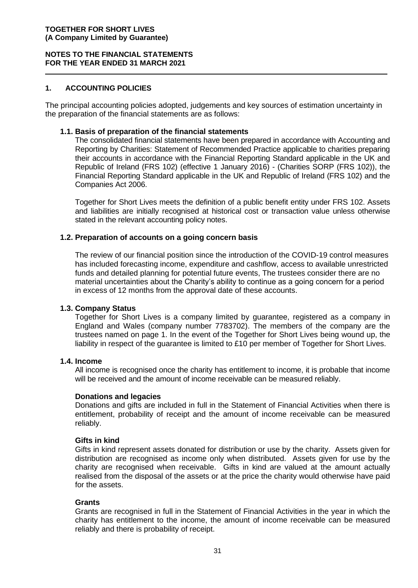#### **NOTES TO THE FINANCIAL STATEMENTS FOR THE YEAR ENDED 31 MARCH 2021**

#### **1. ACCOUNTING POLICIES**

The principal accounting policies adopted, judgements and key sources of estimation uncertainty in the preparation of the financial statements are as follows:

#### **1.1. Basis of preparation of the financial statements**

The consolidated financial statements have been prepared in accordance with Accounting and Reporting by Charities: Statement of Recommended Practice applicable to charities preparing their accounts in accordance with the Financial Reporting Standard applicable in the UK and Republic of Ireland (FRS 102) (effective 1 January 2016) - (Charities SORP (FRS 102)), the Financial Reporting Standard applicable in the UK and Republic of Ireland (FRS 102) and the Companies Act 2006.

Together for Short Lives meets the definition of a public benefit entity under FRS 102. Assets and liabilities are initially recognised at historical cost or transaction value unless otherwise stated in the relevant accounting policy notes.

#### **1.2. Preparation of accounts on a going concern basis**

The review of our financial position since the introduction of the COVID-19 control measures has included forecasting income, expenditure and cashflow, access to available unrestricted funds and detailed planning for potential future events, The trustees consider there are no material uncertainties about the Charity's ability to continue as a going concern for a period in excess of 12 months from the approval date of these accounts.

#### **1.3. Company Status**

Together for Short Lives is a company limited by guarantee, registered as a company in England and Wales (company number 7783702). The members of the company are the trustees named on page 1. In the event of the Together for Short Lives being wound up, the liability in respect of the guarantee is limited to £10 per member of Together for Short Lives.

#### **1.4. Income**

All income is recognised once the charity has entitlement to income, it is probable that income will be received and the amount of income receivable can be measured reliably.

#### **Donations and legacies**

Donations and gifts are included in full in the Statement of Financial Activities when there is entitlement, probability of receipt and the amount of income receivable can be measured reliably.

#### **Gifts in kind**

Gifts in kind represent assets donated for distribution or use by the charity. Assets given for distribution are recognised as income only when distributed. Assets given for use by the charity are recognised when receivable. Gifts in kind are valued at the amount actually realised from the disposal of the assets or at the price the charity would otherwise have paid for the assets.

#### **Grants**

Grants are recognised in full in the Statement of Financial Activities in the year in which the charity has entitlement to the income, the amount of income receivable can be measured reliably and there is probability of receipt.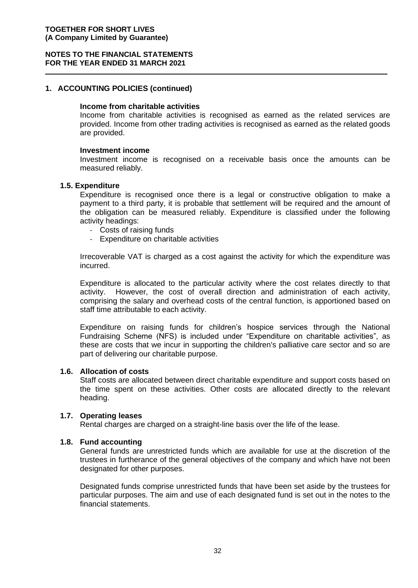#### **NOTES TO THE FINANCIAL STATEMENTS FOR THE YEAR ENDED 31 MARCH 2021**

#### **1. ACCOUNTING POLICIES (continued)**

#### **Income from charitable activities**

Income from charitable activities is recognised as earned as the related services are provided. Income from other trading activities is recognised as earned as the related goods are provided.

#### **Investment income**

Investment income is recognised on a receivable basis once the amounts can be measured reliably.

#### **1.5. Expenditure**

Expenditure is recognised once there is a legal or constructive obligation to make a payment to a third party, it is probable that settlement will be required and the amount of the obligation can be measured reliably. Expenditure is classified under the following activity headings:

- Costs of raising funds
- Expenditure on charitable activities

Irrecoverable VAT is charged as a cost against the activity for which the expenditure was incurred.

Expenditure is allocated to the particular activity where the cost relates directly to that activity. However, the cost of overall direction and administration of each activity, comprising the salary and overhead costs of the central function, is apportioned based on staff time attributable to each activity.

Expenditure on raising funds for children's hospice services through the National Fundraising Scheme (NFS) is included under "Expenditure on charitable activities", as these are costs that we incur in supporting the children's palliative care sector and so are part of delivering our charitable purpose.

#### **1.6. Allocation of costs**

Staff costs are allocated between direct charitable expenditure and support costs based on the time spent on these activities. Other costs are allocated directly to the relevant heading.

#### **1.7. Operating leases**

Rental charges are charged on a straight-line basis over the life of the lease.

#### **1.8. Fund accounting**

General funds are unrestricted funds which are available for use at the discretion of the trustees in furtherance of the general objectives of the company and which have not been designated for other purposes.

Designated funds comprise unrestricted funds that have been set aside by the trustees for particular purposes. The aim and use of each designated fund is set out in the notes to the financial statements.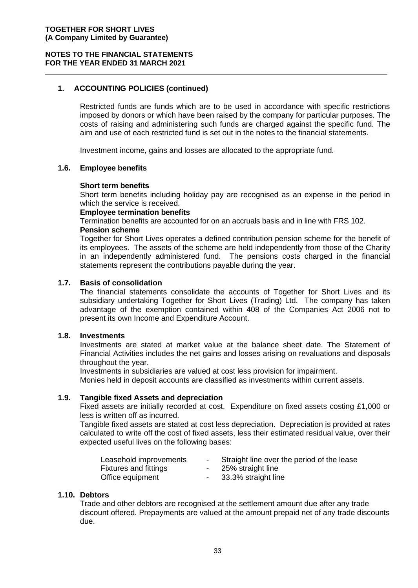#### **1. ACCOUNTING POLICIES (continued)**

Restricted funds are funds which are to be used in accordance with specific restrictions imposed by donors or which have been raised by the company for particular purposes. The costs of raising and administering such funds are charged against the specific fund. The aim and use of each restricted fund is set out in the notes to the financial statements.

Investment income, gains and losses are allocated to the appropriate fund.

#### **1.6. Employee benefits**

#### **Short term benefits**

Short term benefits including holiday pay are recognised as an expense in the period in which the service is received.

#### **Employee termination benefits**

Termination benefits are accounted for on an accruals basis and in line with FRS 102. **Pension scheme**

Together for Short Lives operates a defined contribution pension scheme for the benefit of its employees. The assets of the scheme are held independently from those of the Charity in an independently administered fund. The pensions costs charged in the financial statements represent the contributions payable during the year.

#### **1.7. Basis of consolidation**

The financial statements consolidate the accounts of Together for Short Lives and its subsidiary undertaking Together for Short Lives (Trading) Ltd. The company has taken advantage of the exemption contained within 408 of the Companies Act 2006 not to present its own Income and Expenditure Account.

#### **1.8. Investments**

Investments are stated at market value at the balance sheet date. The Statement of Financial Activities includes the net gains and losses arising on revaluations and disposals throughout the year.

Investments in subsidiaries are valued at cost less provision for impairment.

Monies held in deposit accounts are classified as investments within current assets.

#### **1.9. Tangible fixed Assets and depreciation**

Fixed assets are initially recorded at cost. Expenditure on fixed assets costing £1,000 or less is written off as incurred.

Tangible fixed assets are stated at cost less depreciation. Depreciation is provided at rates calculated to write off the cost of fixed assets, less their estimated residual value, over their expected useful lives on the following bases:

| Leasehold improvements       | Straight line over the period of the lease |
|------------------------------|--------------------------------------------|
| <b>Fixtures and fittings</b> | 25% straight line                          |
| Office equipment             | 33.3% straight line                        |

#### **1.10. Debtors**

Trade and other debtors are recognised at the settlement amount due after any trade discount offered. Prepayments are valued at the amount prepaid net of any trade discounts due.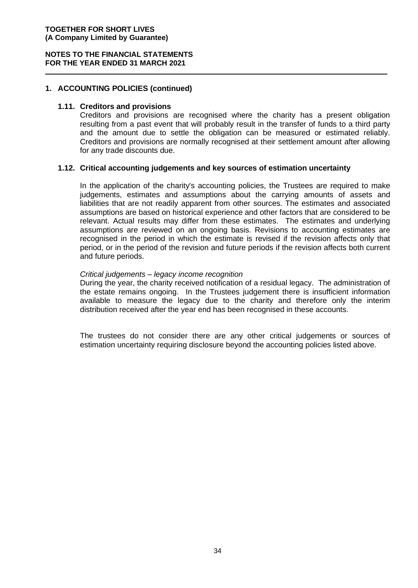#### **NOTES TO THE FINANCIAL STATEMENTS FOR THE YEAR ENDED 31 MARCH 2021**

#### **1. ACCOUNTING POLICIES (continued)**

#### **1.11. Creditors and provisions**

Creditors and provisions are recognised where the charity has a present obligation resulting from a past event that will probably result in the transfer of funds to a third party and the amount due to settle the obligation can be measured or estimated reliably. Creditors and provisions are normally recognised at their settlement amount after allowing for any trade discounts due.

#### **1.12. Critical accounting judgements and key sources of estimation uncertainty**

In the application of the charity's accounting policies, the Trustees are required to make judgements, estimates and assumptions about the carrying amounts of assets and liabilities that are not readily apparent from other sources. The estimates and associated assumptions are based on historical experience and other factors that are considered to be relevant. Actual results may differ from these estimates. The estimates and underlying assumptions are reviewed on an ongoing basis. Revisions to accounting estimates are recognised in the period in which the estimate is revised if the revision affects only that period, or in the period of the revision and future periods if the revision affects both current and future periods.

#### *Critical judgements – legacy income recognition*

During the year, the charity received notification of a residual legacy. The administration of the estate remains ongoing. In the Trustees judgement there is insufficient information available to measure the legacy due to the charity and therefore only the interim distribution received after the year end has been recognised in these accounts.

The trustees do not consider there are any other critical judgements or sources of estimation uncertainty requiring disclosure beyond the accounting policies listed above.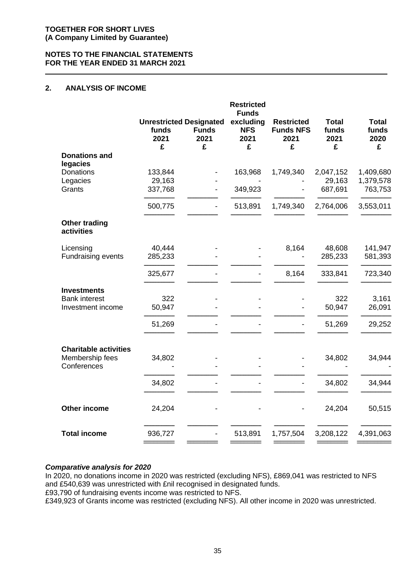#### **NOTES TO THE FINANCIAL STATEMENTS FOR THE YEAR ENDED 31 MARCH 2021**

#### **2. ANALYSIS OF INCOME**

|                                           | <b>Unrestricted Designated</b><br>funds<br>2021<br>£ | <b>Funds</b><br>2021<br>£ | <b>Restricted</b><br><b>Funds</b><br>excluding<br><b>NFS</b><br>2021<br>£ | <b>Restricted</b><br><b>Funds NFS</b><br>2021<br>£ | <b>Total</b><br>funds<br>2021<br>£ | <b>Total</b><br>funds<br>2020<br>£ |
|-------------------------------------------|------------------------------------------------------|---------------------------|---------------------------------------------------------------------------|----------------------------------------------------|------------------------------------|------------------------------------|
| <b>Donations and</b><br>legacies          |                                                      |                           |                                                                           |                                                    |                                    |                                    |
| Donations<br>Legacies<br>Grants           | 133,844<br>29,163<br>337,768                         |                           | 163,968<br>349,923                                                        | 1,749,340                                          | 2,047,152<br>29,163<br>687,691     | 1,409,680<br>1,379,578<br>763,753  |
|                                           | 500,775                                              |                           | 513,891                                                                   | 1,749,340                                          | 2,764,006                          | 3,553,011                          |
| <b>Other trading</b><br>activities        |                                                      |                           |                                                                           |                                                    |                                    |                                    |
| Licensing<br>Fundraising events           | 40,444<br>285,233                                    |                           |                                                                           | 8,164                                              | 48,608<br>285,233                  | 141,947<br>581,393                 |
|                                           | 325,677                                              |                           |                                                                           | 8,164                                              | 333,841                            | 723,340                            |
| <b>Investments</b>                        |                                                      |                           |                                                                           |                                                    |                                    |                                    |
| <b>Bank interest</b><br>Investment income | 322<br>50,947                                        |                           |                                                                           |                                                    | 322<br>50,947                      | 3,161<br>26,091                    |
|                                           | 51,269                                               |                           |                                                                           |                                                    | 51,269                             | 29,252                             |
| <b>Charitable activities</b>              |                                                      |                           |                                                                           |                                                    |                                    |                                    |
| Membership fees<br>Conferences            | 34,802                                               |                           |                                                                           |                                                    | 34,802                             | 34,944                             |
|                                           | 34,802                                               |                           |                                                                           |                                                    | 34,802                             | 34,944                             |
| <b>Other income</b>                       | 24,204                                               |                           |                                                                           |                                                    | 24,204                             | 50,515                             |
| <b>Total income</b>                       | 936,727                                              |                           | 513,891                                                                   | 1,757,504                                          | 3,208,122                          | 4,391,063                          |

#### *Comparative analysis for 2020*

In 2020, no donations income in 2020 was restricted (excluding NFS), £869,041 was restricted to NFS and £540,639 was unrestricted with £nil recognised in designated funds.

£93,790 of fundraising events income was restricted to NFS.

£349,923 of Grants income was restricted (excluding NFS). All other income in 2020 was unrestricted.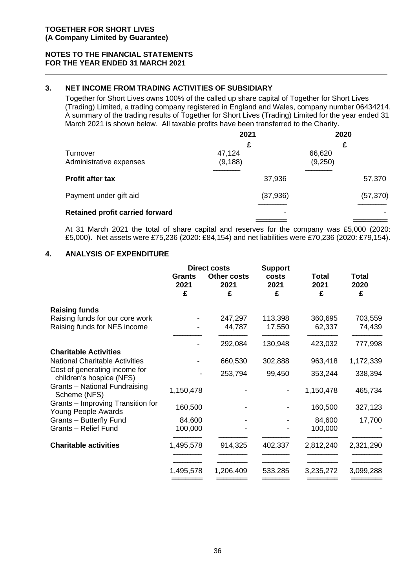#### **3. NET INCOME FROM TRADING ACTIVITIES OF SUBSIDIARY**

Together for Short Lives owns 100% of the called up share capital of Together for Short Lives (Trading) Limited, a trading company registered in England and Wales, company number 06434214. A summary of the trading results of Together for Short Lives (Trading) Limited for the year ended 31 March 2021 is shown below. All taxable profits have been transferred to the Charity.

|                                        | 2021               | 2020              |
|----------------------------------------|--------------------|-------------------|
| Turnover<br>Administrative expenses    | £                  | £                 |
|                                        | 47,124<br>(9, 188) | 66,620<br>(9,250) |
| <b>Profit after tax</b>                | 37,936             | 57,370            |
| Payment under gift aid                 | (37, 936)          | (57, 370)         |
| <b>Retained profit carried forward</b> |                    |                   |
|                                        |                    |                   |

At 31 March 2021 the total of share capital and reserves for the company was £5,000 (2020: £5,000). Net assets were £75,236 (2020: £84,154) and net liabilities were £70,236 (2020: £79,154).

#### **4. ANALYSIS OF EXPENDITURE**

| <b>Grants</b><br>2021<br>£ | <b>Other costs</b><br>2021<br>£ | costs<br>2021<br>£                         | <b>Total</b><br>2021<br>£           | <b>Total</b><br>2020<br>£ |
|----------------------------|---------------------------------|--------------------------------------------|-------------------------------------|---------------------------|
|                            |                                 |                                            |                                     |                           |
|                            | 247,297                         | 113,398                                    | 360,695                             | 703,559                   |
|                            |                                 |                                            |                                     | 74,439                    |
|                            | 292,084                         | 130,948                                    | 423,032                             | 777,998                   |
|                            |                                 |                                            |                                     |                           |
|                            | 660,530                         | 302,888                                    | 963,418                             | 1,172,339                 |
|                            | 253,794                         | 99,450                                     | 353,244                             | 338,394                   |
| 1,150,478                  |                                 |                                            | 1,150,478                           | 465,734                   |
| 160,500                    |                                 |                                            | 160,500                             | 327,123                   |
| 84,600                     |                                 |                                            | 84,600                              | 17,700                    |
| 100,000                    |                                 |                                            | 100,000                             |                           |
| 1,495,578                  | 914,325                         | 402,337                                    | 2,812,240                           | 2,321,290                 |
|                            |                                 |                                            |                                     | 3,099,288                 |
|                            |                                 |                                            |                                     |                           |
|                            | 1,495,578                       | <b>Direct costs</b><br>44,787<br>1,206,409 | <b>Support</b><br>17,550<br>533,285 | 62,337<br>3,235,272       |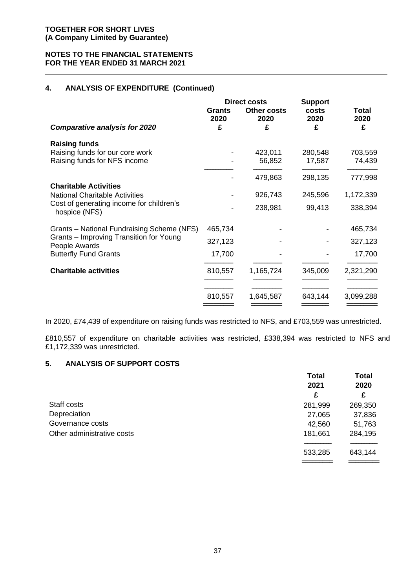#### **4. ANALYSIS OF EXPENDITURE (Continued)**

|                                                                                         | Grants<br>2020 | <b>Direct costs</b><br><b>Other costs</b><br>2020 | <b>Support</b><br>costs<br>2020 | <b>Total</b><br>2020 |
|-----------------------------------------------------------------------------------------|----------------|---------------------------------------------------|---------------------------------|----------------------|
| <b>Comparative analysis for 2020</b>                                                    | £              | £                                                 | £                               | £                    |
| <b>Raising funds</b><br>Raising funds for our core work<br>Raising funds for NFS income |                | 423,011<br>56,852                                 | 280,548<br>17,587               | 703,559<br>74,439    |
|                                                                                         |                | 479,863                                           | 298,135                         | 777,998              |
| <b>Charitable Activities</b><br><b>National Charitable Activities</b>                   |                | 926,743                                           | 245,596                         | 1,172,339            |
| Cost of generating income for children's<br>hospice (NFS)                               |                | 238,981                                           | 99,413                          | 338,394              |
| Grants - National Fundraising Scheme (NFS)                                              | 465,734        |                                                   |                                 | 465,734              |
| Grants – Improving Transition for Young<br>People Awards                                | 327,123        |                                                   |                                 | 327,123              |
| <b>Butterfly Fund Grants</b>                                                            | 17,700         |                                                   |                                 | 17,700               |
| <b>Charitable activities</b>                                                            | 810,557        | 1,165,724                                         | 345,009                         | 2,321,290            |
|                                                                                         | 810,557        | 1,645,587                                         | 643,144                         | 3,099,288            |

In 2020, £74,439 of expenditure on raising funds was restricted to NFS, and £703,559 was unrestricted.

£810,557 of expenditure on charitable activities was restricted, £338,394 was restricted to NFS and £1,172,339 was unrestricted.

#### **5. ANALYSIS OF SUPPORT COSTS**

|                            | <b>Total</b> | <b>Total</b><br>2020 |  |
|----------------------------|--------------|----------------------|--|
|                            | 2021         |                      |  |
|                            | £            | £                    |  |
| Staff costs                | 281,999      | 269,350              |  |
| Depreciation               | 27,065       | 37,836               |  |
| Governance costs           | 42,560       | 51,763               |  |
| Other administrative costs | 181,661      | 284,195              |  |
|                            |              |                      |  |
|                            | 533,285      | 643,144              |  |
|                            |              |                      |  |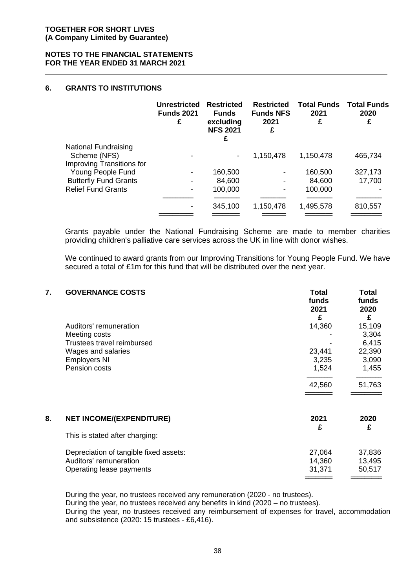#### **NOTES TO THE FINANCIAL STATEMENTS FOR THE YEAR ENDED 31 MARCH 2021**

#### **6. GRANTS TO INSTITUTIONS**

|                                                                          | Unrestricted<br><b>Funds 2021</b><br>£ | <b>Restricted</b><br><b>Funds</b><br>excluding<br><b>NFS 2021</b><br>£ | <b>Restricted</b><br><b>Funds NFS</b><br>2021<br>£ | 2021<br>£         | <b>Total Funds</b> Total Funds<br>2020<br>£ |
|--------------------------------------------------------------------------|----------------------------------------|------------------------------------------------------------------------|----------------------------------------------------|-------------------|---------------------------------------------|
| <b>National Fundraising</b><br>Scheme (NFS)<br>Improving Transitions for |                                        |                                                                        | 1,150,478                                          | 1,150,478         | 465,734                                     |
| Young People Fund                                                        |                                        | 160,500                                                                |                                                    | 160,500           | 327,173                                     |
| <b>Butterfly Fund Grants</b><br><b>Relief Fund Grants</b>                |                                        | 84,600<br>100,000                                                      | $\overline{\phantom{a}}$                           | 84,600<br>100,000 | 17,700                                      |
|                                                                          |                                        | 345,100                                                                | 1,150,478                                          | 1,495,578         | 810,557                                     |
|                                                                          |                                        |                                                                        |                                                    |                   |                                             |

Grants payable under the National Fundraising Scheme are made to member charities providing children's palliative care services across the UK in line with donor wishes.

We continued to award grants from our Improving Transitions for Young People Fund. We have secured a total of £1m for this fund that will be distributed over the next year.

| 7. | <b>GOVERNANCE COSTS</b>                                                                                                             | Total<br>funds<br>2021<br>£        | Total<br>funds<br>2020<br>£                          |
|----|-------------------------------------------------------------------------------------------------------------------------------------|------------------------------------|------------------------------------------------------|
|    | Auditors' remuneration<br>Meeting costs<br>Trustees travel reimbursed<br>Wages and salaries<br><b>Employers NI</b><br>Pension costs | 14,360<br>23,441<br>3,235<br>1,524 | 15,109<br>3,304<br>6,415<br>22,390<br>3,090<br>1,455 |
|    |                                                                                                                                     | 42,560                             | 51,763                                               |
| 8. | <b>NET INCOME/(EXPENDITURE)</b><br>This is stated after charging:                                                                   | 2021<br>£                          | 2020<br>£                                            |
|    | Depreciation of tangible fixed assets:<br>Auditors' remuneration<br>Operating lease payments                                        | 27,064<br>14,360<br>31,371         | 37,836<br>13,495<br>50,517                           |

During the year, no trustees received any remuneration (2020 - no trustees). During the year, no trustees received any benefits in kind (2020 – no trustees). During the year, no trustees received any reimbursement of expenses for travel, accommodation and subsistence (2020: 15 trustees - £6,416).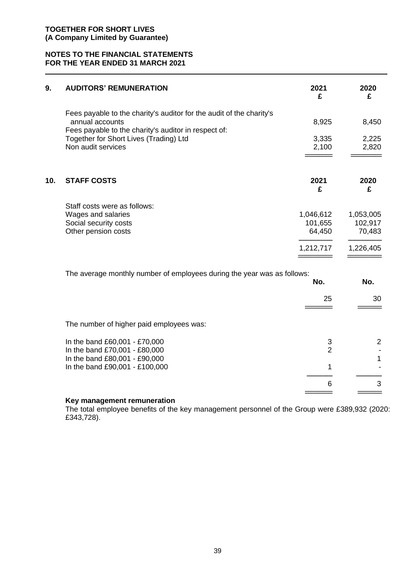#### **NOTES TO THE FINANCIAL STATEMENTS FOR THE YEAR ENDED 31 MARCH 2021**

| 9.  | <b>AUDITORS' REMUNERATION</b>                                                                                                                   | 2021<br>£         | 2020<br>£         |
|-----|-------------------------------------------------------------------------------------------------------------------------------------------------|-------------------|-------------------|
|     | Fees payable to the charity's auditor for the audit of the charity's<br>annual accounts<br>Fees payable to the charity's auditor in respect of: | 8,925             | 8,450             |
|     | Together for Short Lives (Trading) Ltd<br>Non audit services                                                                                    | 3,335<br>2,100    | 2,225<br>2,820    |
| 10. | <b>STAFF COSTS</b>                                                                                                                              | 2021<br>£         | 2020<br>£         |
|     | Staff costs were as follows:                                                                                                                    |                   |                   |
|     | Wages and salaries                                                                                                                              | 1,046,612         | 1,053,005         |
|     | Social security costs<br>Other pension costs                                                                                                    | 101,655<br>64,450 | 102,917<br>70,483 |
|     |                                                                                                                                                 | 1,212,717         | 1,226,405         |
|     | The average monthly number of employees during the year was as follows:                                                                         | No.               | No.               |
|     |                                                                                                                                                 |                   |                   |
|     |                                                                                                                                                 | 25                | 30                |
|     | The number of higher paid employees was:                                                                                                        |                   |                   |
|     | In the band £60,001 - £70,000                                                                                                                   | 3                 | $\overline{2}$    |
|     | In the band £70,001 - £80,000<br>In the band £80,001 - £90,000                                                                                  | $\overline{2}$    | 1                 |
|     | In the band £90,001 - £100,000                                                                                                                  | 1                 |                   |
|     |                                                                                                                                                 | 6                 | 3                 |
|     |                                                                                                                                                 |                   |                   |

#### **Key management remuneration**

The total employee benefits of the key management personnel of the Group were £389,932 (2020: £343,728).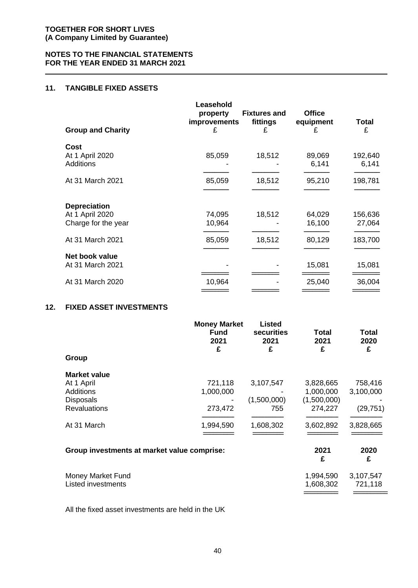#### **11. TANGIBLE FIXED ASSETS**

| <b>Group and Charity</b>            | Leasehold<br>property<br>improvements<br>£ | <b>Fixtures and</b><br>fittings<br>£ | <b>Office</b><br>equipment<br>£ | <b>Total</b><br>£ |
|-------------------------------------|--------------------------------------------|--------------------------------------|---------------------------------|-------------------|
| Cost                                |                                            |                                      |                                 |                   |
| At 1 April 2020<br><b>Additions</b> | 85,059                                     | 18,512                               | 89,069<br>6,141                 | 192,640<br>6,141  |
| At 31 March 2021                    | 85,059                                     | 18,512                               | 95,210                          | 198,781           |
| <b>Depreciation</b>                 |                                            |                                      |                                 |                   |
| At 1 April 2020                     | 74,095                                     | 18,512                               | 64,029                          | 156,636           |
| Charge for the year                 | 10,964                                     |                                      | 16,100                          | 27,064            |
| At 31 March 2021                    | 85,059                                     | 18,512                               | 80,129                          | 183,700           |
| Net book value                      |                                            |                                      |                                 |                   |
| At 31 March 2021                    |                                            |                                      | 15,081                          | 15,081            |
| At 31 March 2020                    | 10,964                                     |                                      | 25,040                          | 36,004            |
|                                     |                                            |                                      |                                 |                   |

#### **12. FIXED ASSET INVESTMENTS**

|                                                             | <b>Money Market</b><br><b>Fund</b><br>2021<br>£ | Listed<br>securities<br>2021<br>£ | Total<br>2021<br>£                  | Total<br>2020<br>£     |
|-------------------------------------------------------------|-------------------------------------------------|-----------------------------------|-------------------------------------|------------------------|
| Group                                                       |                                                 |                                   |                                     |                        |
| <b>Market value</b><br>At 1 April                           | 721,118                                         | 3,107,547                         | 3,828,665                           | 758,416                |
| <b>Additions</b><br><b>Disposals</b><br><b>Revaluations</b> | 1,000,000<br>273,472                            | (1,500,000)<br>755                | 1,000,000<br>(1,500,000)<br>274,227 | 3,100,000<br>(29, 751) |
| At 31 March                                                 | 1,994,590                                       | 1,608,302                         | 3,602,892                           | 3,828,665              |
| Group investments at market value comprise:                 |                                                 |                                   | 2021<br>£                           | 2020<br>£              |
| Money Market Fund<br><b>Listed investments</b>              |                                                 |                                   | 1,994,590<br>1,608,302              | 3,107,547<br>721,118   |

All the fixed asset investments are held in the UK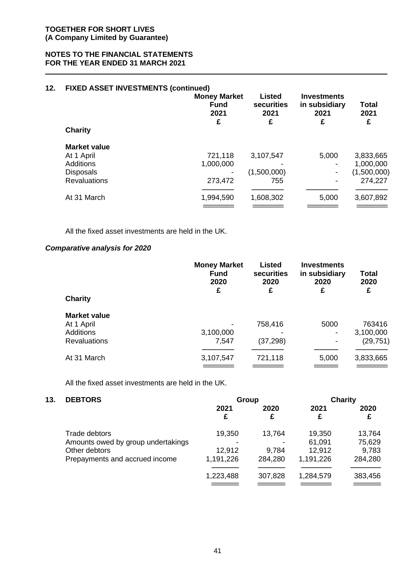#### **NOTES TO THE FINANCIAL STATEMENTS FOR THE YEAR ENDED 31 MARCH 2021**

#### **12. FIXED ASSET INVESTMENTS (continued)**

| <b>Charity</b>      | <b>Money Market</b><br><b>Fund</b><br>2021<br>£ | <b>Listed</b><br>securities<br>2021<br>£ | <b>Investments</b><br>in subsidiary<br>2021<br>£ | Total<br>2021<br>£ |
|---------------------|-------------------------------------------------|------------------------------------------|--------------------------------------------------|--------------------|
| <b>Market value</b> |                                                 |                                          |                                                  |                    |
| At 1 April          | 721,118                                         | 3,107,547                                | 5,000                                            | 3,833,665          |
| <b>Additions</b>    | 1,000,000                                       |                                          |                                                  | 1,000,000          |
| <b>Disposals</b>    |                                                 | (1,500,000)                              |                                                  | (1,500,000)        |
| <b>Revaluations</b> | 273,472                                         | 755                                      |                                                  | 274,227            |
| At 31 March         | 1,994,590                                       | 1,608,302                                | 5,000                                            | 3,607,892          |
|                     |                                                 |                                          |                                                  |                    |

All the fixed asset investments are held in the UK.

#### *Comparative analysis for 2020*

| <b>Charity</b>      | <b>Money Market</b><br><b>Fund</b><br>2020<br>£ | <b>Listed</b><br>securities<br>2020<br>£ | <b>Investments</b><br>in subsidiary<br>2020<br>£ | Total<br>2020<br>£ |
|---------------------|-------------------------------------------------|------------------------------------------|--------------------------------------------------|--------------------|
| <b>Market value</b> |                                                 |                                          |                                                  |                    |
| At 1 April          |                                                 | 758,416                                  | 5000                                             | 763416             |
| Additions           | 3,100,000                                       |                                          | $\blacksquare$                                   | 3,100,000          |
| <b>Revaluations</b> | 7,547                                           | (37,298)                                 | $\blacksquare$                                   | (29, 751)          |
| At 31 March         | 3,107,547                                       | 721,118                                  | 5,000                                            | 3,833,665          |
|                     |                                                 |                                          |                                                  |                    |

All the fixed asset investments are held in the UK.

| 13. | <b>DEBTORS</b>                     |           | Group     | Charity   |           |  |
|-----|------------------------------------|-----------|-----------|-----------|-----------|--|
|     |                                    | 2021<br>£ | 2020<br>£ | 2021<br>£ | 2020<br>£ |  |
|     | Trade debtors                      | 19,350    | 13,764    | 19,350    | 13,764    |  |
|     | Amounts owed by group undertakings |           |           | 61,091    | 75,629    |  |
|     | Other debtors                      | 12,912    | 9,784     | 12,912    | 9,783     |  |
|     | Prepayments and accrued income     | 1,191,226 | 284,280   | 1,191,226 | 284,280   |  |
|     |                                    | 1,223,488 | 307,828   | 1,284,579 | 383,456   |  |
|     |                                    |           |           |           |           |  |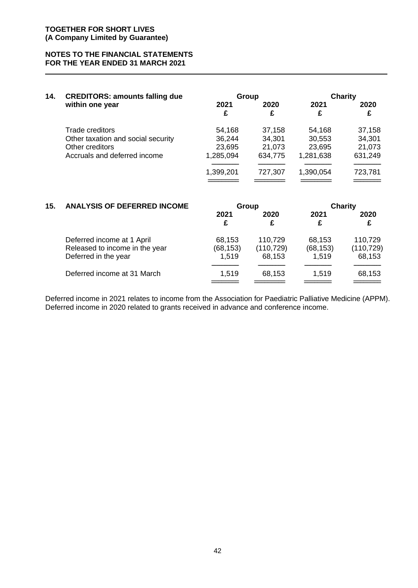#### **NOTES TO THE FINANCIAL STATEMENTS FOR THE YEAR ENDED 31 MARCH 2021**

| 14. | <b>CREDITORS: amounts falling due</b> |           | Group     | Charity   |           |  |
|-----|---------------------------------------|-----------|-----------|-----------|-----------|--|
|     | within one year                       | 2021<br>£ | 2020<br>£ | 2021<br>£ | 2020<br>£ |  |
|     | Trade creditors                       | 54,168    | 37,158    | 54,168    | 37,158    |  |
|     | Other taxation and social security    | 36,244    | 34,301    | 30,553    | 34,301    |  |
|     | Other creditors                       | 23,695    | 21,073    | 23,695    | 21,073    |  |
|     | Accruals and deferred income          | 1,285,094 | 634,775   | 1,281,638 | 631,249   |  |
|     |                                       | 1,399,201 | 727,307   | 1,390,054 | 723,781   |  |
|     |                                       |           |           |           |           |  |

| 15. | <b>ANALYSIS OF DEFERRED INCOME</b>                                                   | Group                        |                                 | <b>Charity</b>               |                                 |
|-----|--------------------------------------------------------------------------------------|------------------------------|---------------------------------|------------------------------|---------------------------------|
|     |                                                                                      | 2021<br>£                    | 2020<br>£                       | 2021<br>£                    | 2020<br>£                       |
|     | Deferred income at 1 April<br>Released to income in the year<br>Deferred in the year | 68,153<br>(68, 153)<br>1,519 | 110,729<br>(110, 729)<br>68,153 | 68,153<br>(68, 153)<br>1,519 | 110,729<br>(110, 729)<br>68,153 |
|     | Deferred income at 31 March                                                          | 1,519                        | 68,153                          | 1.519                        | 68,153                          |

Deferred income in 2021 relates to income from the Association for Paediatric Palliative Medicine (APPM). Deferred income in 2020 related to grants received in advance and conference income.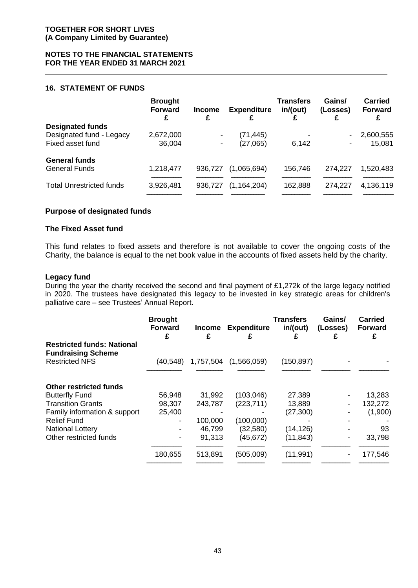#### **16. STATEMENT OF FUNDS**

|                                 | <b>Brought</b><br><b>Forward</b><br>£ | <b>Income</b><br>£ | <b>Expenditure</b> | <b>Transfers</b><br>in/(out) | Gains/<br>(Losses)<br>£      | <b>Carried</b><br><b>Forward</b><br>£ |
|---------------------------------|---------------------------------------|--------------------|--------------------|------------------------------|------------------------------|---------------------------------------|
| <b>Designated funds</b>         |                                       |                    |                    |                              |                              |                                       |
| Designated fund - Legacy        | 2,672,000                             |                    | (71, 445)          |                              | ۰                            | 2,600,555                             |
| Fixed asset fund                | 36,004                                |                    | (27,065)           | 6,142                        | $\qquad \qquad \blacksquare$ | 15,081                                |
| <b>General funds</b>            |                                       |                    |                    |                              |                              |                                       |
| <b>General Funds</b>            | 1,218,477                             | 936,727            | (1,065,694)        | 156,746                      | 274,227                      | 1,520,483                             |
|                                 |                                       |                    |                    |                              |                              |                                       |
| <b>Total Unrestricted funds</b> | 3,926,481                             | 936,727            | (1, 164, 204)      | 162,888                      | 274,227                      | 4,136,119                             |
|                                 |                                       |                    |                    |                              |                              |                                       |

#### **Purpose of designated funds**

#### **The Fixed Asset fund**

This fund relates to fixed assets and therefore is not available to cover the ongoing costs of the Charity, the balance is equal to the net book value in the accounts of fixed assets held by the charity.

#### **Legacy fund**

During the year the charity received the second and final payment of £1,272k of the large legacy notified in 2020. The trustees have designated this legacy to be invested in key strategic areas for children's palliative care – see Trustees' Annual Report.

|                                                                                         | <b>Brought</b><br><b>Forward</b><br>£ | <b>Income</b><br>£ | <b>Expenditure</b>       | <b>Transfers</b><br>in/(out) | Gains/<br>(Losses) | <b>Carried</b><br><b>Forward</b> |
|-----------------------------------------------------------------------------------------|---------------------------------------|--------------------|--------------------------|------------------------------|--------------------|----------------------------------|
| <b>Restricted funds: National</b><br><b>Fundraising Scheme</b><br><b>Restricted NFS</b> | (40,548)                              | 1,757,504          | (1,566,059)              | (150, 897)                   |                    |                                  |
| <b>Other restricted funds</b>                                                           |                                       |                    |                          |                              |                    |                                  |
| <b>Butterfly Fund</b><br><b>Transition Grants</b>                                       | 56,948<br>98,307                      | 31,992<br>243,787  | (103, 046)<br>(223, 711) | 27,389<br>13,889             |                    | 13,283<br>132,272                |
| Family information & support<br><b>Relief Fund</b>                                      | 25,400<br>-                           | 100,000            | (100,000)                | (27, 300)                    |                    | (1,900)                          |
| <b>National Lottery</b>                                                                 |                                       | 46,799             | (32, 580)                | (14, 126)                    |                    | 93                               |
| Other restricted funds                                                                  |                                       | 91,313             | (45, 672)                | (11, 843)                    |                    | 33,798                           |
|                                                                                         | 180,655                               | 513,891            | (505,009)                | (11, 991)                    |                    | 177,546                          |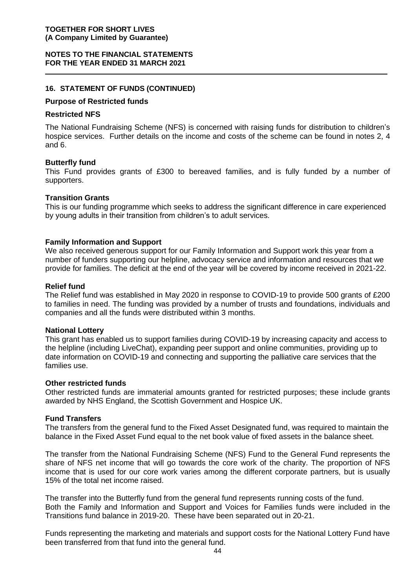#### **NOTES TO THE FINANCIAL STATEMENTS FOR THE YEAR ENDED 31 MARCH 2021**

#### **16. STATEMENT OF FUNDS (CONTINUED)**

#### **Purpose of Restricted funds**

#### **Restricted NFS**

The National Fundraising Scheme (NFS) is concerned with raising funds for distribution to children's hospice services. Further details on the income and costs of the scheme can be found in notes 2, 4 and 6.

#### **Butterfly fund**

This Fund provides grants of £300 to bereaved families, and is fully funded by a number of supporters.

#### **Transition Grants**

This is our funding programme which seeks to address the significant difference in care experienced by young adults in their transition from children's to adult services.

#### **Family Information and Support**

We also received generous support for our Family Information and Support work this year from a number of funders supporting our helpline, advocacy service and information and resources that we provide for families. The deficit at the end of the year will be covered by income received in 2021-22.

#### **Relief fund**

The Relief fund was established in May 2020 in response to COVID-19 to provide 500 grants of £200 to families in need. The funding was provided by a number of trusts and foundations, individuals and companies and all the funds were distributed within 3 months.

#### **National Lottery**

This grant has enabled us to support families during COVID-19 by increasing capacity and access to the helpline (including LiveChat), expanding peer support and online communities, providing up to date information on COVID-19 and connecting and supporting the palliative care services that the families use.

#### **Other restricted funds**

Other restricted funds are immaterial amounts granted for restricted purposes; these include grants awarded by NHS England, the Scottish Government and Hospice UK.

#### **Fund Transfers**

The transfers from the general fund to the Fixed Asset Designated fund, was required to maintain the balance in the Fixed Asset Fund equal to the net book value of fixed assets in the balance sheet.

The transfer from the National Fundraising Scheme (NFS) Fund to the General Fund represents the share of NFS net income that will go towards the core work of the charity. The proportion of NFS income that is used for our core work varies among the different corporate partners, but is usually 15% of the total net income raised.

The transfer into the Butterfly fund from the general fund represents running costs of the fund. Both the Family and Information and Support and Voices for Families funds were included in the Transitions fund balance in 2019-20. These have been separated out in 20-21.

Funds representing the marketing and materials and support costs for the National Lottery Fund have been transferred from that fund into the general fund.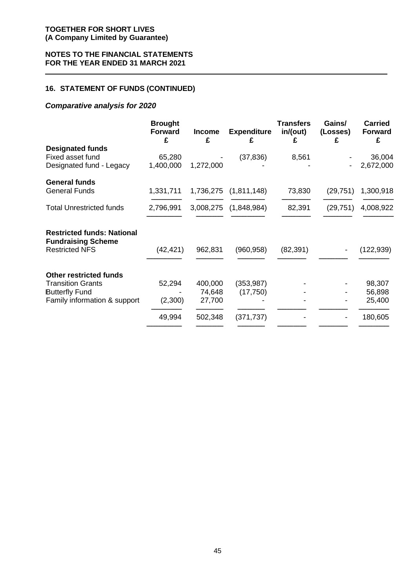#### **16. STATEMENT OF FUNDS (CONTINUED)**

#### *Comparative analysis for 2020*

|                                                                                         | <b>Brought</b><br><b>Forward</b><br>£ | <b>Income</b><br>£ | <b>Expenditure</b><br>£ | <b>Transfers</b><br>in/(out)<br>£ | Gains/<br>(Losses)<br>£ | <b>Carried</b><br><b>Forward</b><br>£ |
|-----------------------------------------------------------------------------------------|---------------------------------------|--------------------|-------------------------|-----------------------------------|-------------------------|---------------------------------------|
| <b>Designated funds</b>                                                                 |                                       |                    |                         |                                   |                         |                                       |
| Fixed asset fund                                                                        | 65,280                                |                    | (37, 836)               | 8,561                             |                         | 36,004                                |
| Designated fund - Legacy                                                                | 1,400,000                             | 1,272,000          |                         |                                   |                         | 2,672,000                             |
| <b>General funds</b>                                                                    |                                       |                    |                         |                                   |                         |                                       |
| <b>General Funds</b>                                                                    | 1,331,711                             | 1,736,275          | (1,811,148)             | 73,830                            | (29, 751)               | 1,300,918                             |
| <b>Total Unrestricted funds</b>                                                         | 2,796,991                             | 3,008,275          | (1,848,984)             | 82,391                            | (29, 751)               | 4,008,922                             |
| <b>Restricted funds: National</b><br><b>Fundraising Scheme</b><br><b>Restricted NFS</b> | (42, 421)                             | 962,831            | (960, 958)              | (82, 391)                         |                         | (122,939)                             |
| <b>Other restricted funds</b><br><b>Transition Grants</b>                               | 52,294                                | 400,000            | (353, 987)              |                                   |                         | 98,307                                |
| <b>Butterfly Fund</b><br>Family information & support                                   | (2,300)                               | 74,648<br>27,700   | (17, 750)               |                                   |                         | 56,898<br>25,400                      |
|                                                                                         |                                       |                    |                         |                                   |                         |                                       |
|                                                                                         | 49,994                                | 502,348            | (371, 737)              |                                   |                         | 180,605                               |
|                                                                                         |                                       |                    |                         |                                   |                         |                                       |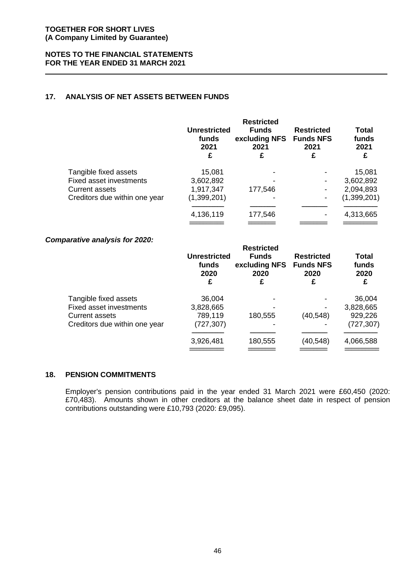#### **17. ANALYSIS OF NET ASSETS BETWEEN FUNDS**

|                               | <b>Unrestricted</b><br>funds<br>2021<br>£ | <b>Restricted</b><br><b>Funds</b><br>excluding NFS<br>2021<br>£ | <b>Restricted</b><br><b>Funds NFS</b><br>2021<br>£ | <b>Total</b><br>funds<br>2021<br>£ |
|-------------------------------|-------------------------------------------|-----------------------------------------------------------------|----------------------------------------------------|------------------------------------|
| Tangible fixed assets         | 15,081                                    |                                                                 |                                                    | 15,081                             |
| Fixed asset investments       | 3,602,892                                 |                                                                 |                                                    | 3,602,892                          |
| <b>Current assets</b>         | 1,917,347                                 | 177,546                                                         |                                                    | 2,094,893                          |
| Creditors due within one year | (1,399,201)                               |                                                                 |                                                    | (1, 399, 201)                      |
|                               | 4,136,119                                 | 177,546                                                         |                                                    | 4,313,665                          |
|                               |                                           |                                                                 |                                                    |                                    |

#### *Comparative analysis for 2020:*

| $arcc$ , $or$ $arcc$ , $or$ , $or$ , $or$ | <b>Unrestricted</b><br>funds<br>2020<br>£ | <b>Restricted</b><br><b>Funds</b><br>excluding NFS<br>2020<br>£ | <b>Restricted</b><br><b>Funds NFS</b><br>2020<br>£ | Total<br>funds<br>2020 |
|-------------------------------------------|-------------------------------------------|-----------------------------------------------------------------|----------------------------------------------------|------------------------|
| Tangible fixed assets                     | 36,004                                    |                                                                 |                                                    | 36,004                 |
| Fixed asset investments                   | 3,828,665                                 |                                                                 |                                                    | 3,828,665              |
| <b>Current assets</b>                     | 789,119                                   | 180,555                                                         | (40, 548)                                          | 929,226                |
| Creditors due within one year             | (727, 307)                                |                                                                 |                                                    | (727, 307)             |
|                                           |                                           |                                                                 |                                                    |                        |
|                                           | 3,926,481                                 | 180,555                                                         | (40, 548)                                          | 4,066,588              |

#### **18. PENSION COMMITMENTS**

Employer's pension contributions paid in the year ended 31 March 2021 were £60,450 (2020: £70,483). Amounts shown in other creditors at the balance sheet date in respect of pension contributions outstanding were £10,793 (2020: £9,095).